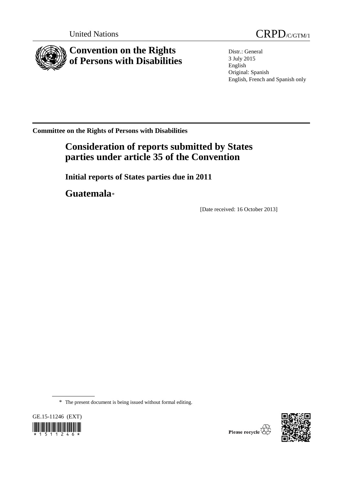



Distr.: General 3 July 2015 English Original: Spanish English, French and Spanish only

**Committee on the Rights of Persons with Disabilities**

# **Consideration of reports submitted by States parties under article 35 of the Convention**

**Initial reports of States parties due in 2011**

**Guatemala**[\\*](#page-0-0)

[Date received: 16 October 2013]

\* The present document is being issued without formal editing.

<span id="page-0-0"></span>



Please recycle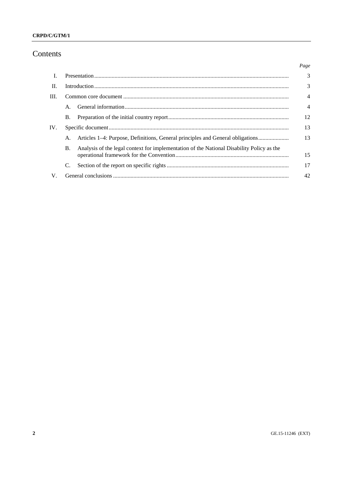# $CRPD/C/GTM/1$

# Contents

|      |                                                                                                        | Page |  |  |  |
|------|--------------------------------------------------------------------------------------------------------|------|--|--|--|
| L    |                                                                                                        | 3    |  |  |  |
| H.   |                                                                                                        | 3    |  |  |  |
| III. |                                                                                                        |      |  |  |  |
|      | A.                                                                                                     | 4    |  |  |  |
|      | <b>B.</b>                                                                                              | 12   |  |  |  |
| IV.  |                                                                                                        | 13   |  |  |  |
|      | Articles 1–4: Purpose, Definitions, General principles and General obligations<br>А.                   | 13   |  |  |  |
|      | Analysis of the legal context for implementation of the National Disability Policy as the<br><b>B.</b> | 15   |  |  |  |
|      | C.                                                                                                     | 17   |  |  |  |
| V.   |                                                                                                        | 42   |  |  |  |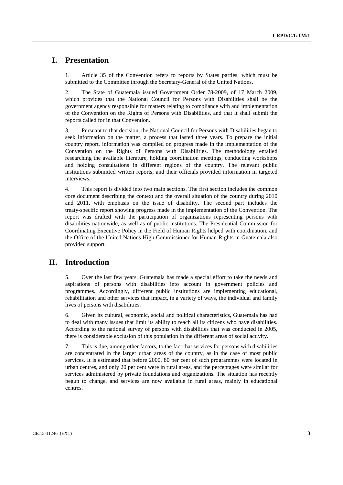# **I. Presentation**

1. Article 35 of the Convention refers to reports by States parties, which must be submitted to the Committee through the Secretary-General of the United Nations.

2. The State of Guatemala issued Government Order 78-2009, of 17 March 2009, which provides that the National Council for Persons with Disabilities shall be the government agency responsible for matters relating to compliance with and implementation of the Convention on the Rights of Persons with Disabilities, and that it shall submit the reports called for in that Convention.

3. Pursuant to that decision, the National Council for Persons with Disabilities began to seek information on the matter, a process that lasted three years. To prepare the initial country report, information was compiled on progress made in the implementation of the Convention on the Rights of Persons with Disabilities. The methodology entailed researching the available literature, holding coordination meetings, conducting workshops and holding consultations in different regions of the country. The relevant public institutions submitted written reports, and their officials provided information in targeted interviews.

4. This report is divided into two main sections. The first section includes the common core document describing the context and the overall situation of the country during 2010 and 2011, with emphasis on the issue of disability. The second part includes the treaty-specific report showing progress made in the implementation of the Convention. The report was drafted with the participation of organizations representing persons with disabilities nationwide, as well as of public institutions. The Presidential Commission for Coordinating Executive Policy in the Field of Human Rights helped with coordination, and the Office of the United Nations High Commissioner for Human Rights in Guatemala also provided support.

# **II. Introduction**

5. Over the last few years, Guatemala has made a special effort to take the needs and aspirations of persons with disabilities into account in government policies and programmes. Accordingly, different public institutions are implementing educational, rehabilitation and other services that impact, in a variety of ways, the individual and family lives of persons with disabilities.

6. Given its cultural, economic, social and political characteristics, Guatemala has had to deal with many issues that limit its ability to reach all its citizens who have disabilities. According to the national survey of persons with disabilities that was conducted in 2005, there is considerable exclusion of this population in the different areas of social activity.

7. This is due, among other factors, to the fact that services for persons with disabilities are concentrated in the larger urban areas of the country, as in the case of most public services. It is estimated that before 2000, 80 per cent of such programmes were located in urban centres, and only 20 per cent were in rural areas, and the percentages were similar for services administered by private foundations and organizations. The situation has recently begun to change, and services are now available in rural areas, mainly in educational centres.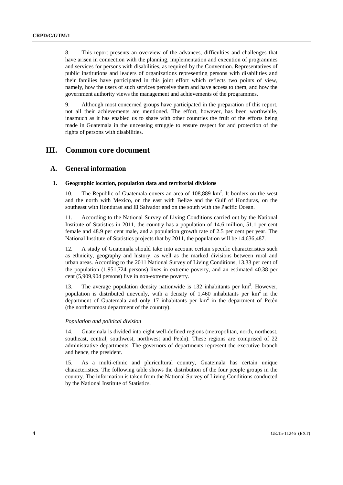8. This report presents an overview of the advances, difficulties and challenges that have arisen in connection with the planning, implementation and execution of programmes and services for persons with disabilities, as required by the Convention. Representatives of public institutions and leaders of organizations representing persons with disabilities and their families have participated in this joint effort which reflects two points of view, namely, how the users of such services perceive them and have access to them, and how the government authority views the management and achievements of the programmes.

9. Although most concerned groups have participated in the preparation of this report, not all their achievements are mentioned. The effort, however, has been worthwhile, inasmuch as it has enabled us to share with other countries the fruit of the efforts being made in Guatemala in the unceasing struggle to ensure respect for and protection of the rights of persons with disabilities.

# **III. Common core document**

# **A. General information**

#### **1. Geographic location, population data and territorial divisions**

10. The Republic of Guatemala covers an area of 108,889 km<sup>2</sup>. It borders on the west and the north with Mexico, on the east with Belize and the Gulf of Honduras, on the southeast with Honduras and El Salvador and on the south with the Pacific Ocean.

11. According to the National Survey of Living Conditions carried out by the National Institute of Statistics in 2011, the country has a population of 14.6 million, 51.1 per cent female and 48.9 per cent male, and a population growth rate of 2.5 per cent per year. The National Institute of Statistics projects that by 2011, the population will be 14,636,487.

12. A study of Guatemala should take into account certain specific characteristics such as ethnicity, geography and history, as well as the marked divisions between rural and urban areas. According to the 2011 National Survey of Living Conditions, 13.33 per cent of the population (1,951,724 persons) lives in extreme poverty, and an estimated 40.38 per cent (5,909,904 persons) live in non-extreme poverty.

13. The average population density nationwide is  $132$  inhabitants per  $km<sup>2</sup>$ . However, population is distributed unevenly, with a density of  $1,460$  inhabitants per  $km<sup>2</sup>$  in the department of Guatemala and only 17 inhabitants per  $km<sup>2</sup>$  in the department of Petén (the northernmost department of the country).

#### *Population and political division*

Guatemala is divided into eight well-defined regions (metropolitan, north, northeast, southeast, central, southwest, northwest and Petén). These regions are comprised of 22 administrative departments. The governors of departments represent the executive branch and hence, the president.

15. As a multi-ethnic and pluricultural country, Guatemala has certain unique characteristics. The following table shows the distribution of the four people groups in the country. The information is taken from the National Survey of Living Conditions conducted by the National Institute of Statistics.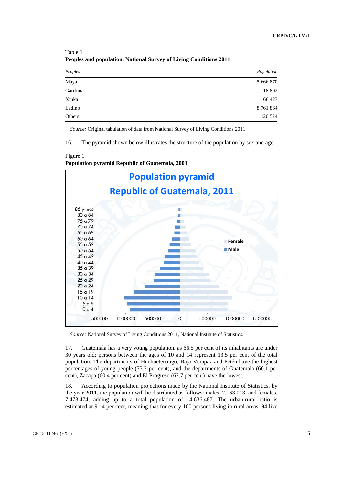| Peoples  | Population |
|----------|------------|
| Maya     | 5 666 870  |
| Garífuna | 18 802     |
| Xinka    | 68 427     |
| Ladino   | 8 761 864  |
| Others   | 120 524    |

Table 1 **Peoples and population. National Survey of Living Conditions 2011**

*Source:* Original tabulation of data from National Survey of Living Conditions 2011.

16. The pyramid shown below illustrates the structure of the population by sex and age.

Figure 1 **Population pyramid Republic of Guatemala, 2001**



*Source:* National Survey of Living Conditions 2011, National Institute of Statistics.

17. Guatemala has a very young population, as 66.5 per cent of its inhabitants are under 30 years old; persons between the ages of 10 and 14 represent 13.5 per cent of the total population. The departments of Huehuetenango, Baja Verapaz and Petén have the highest percentages of young people (73.2 per cent), and the departments of Guatemala (60.1 per cent), Zacapa (60.4 per cent) and El Progreso (62.7 per cent) have the lowest.

18. According to population projections made by the National Institute of Statistics, by the year 2011, the population will be distributed as follows: males, 7,163,013, and females, 7,473,474, adding up to a total population of 14,636,487. The urban-rural ratio is estimated at 91.4 per cent, meaning that for every 100 persons living in rural areas, 94 live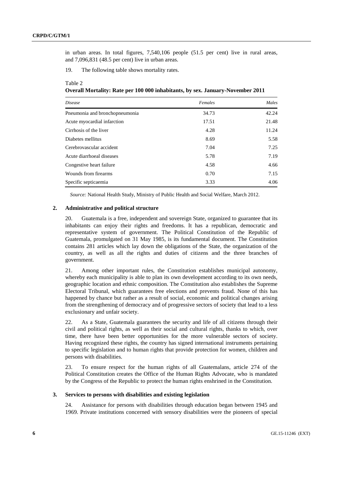in urban areas. In total figures, 7,540,106 people (51.5 per cent) live in rural areas, and 7,096,831 (48.5 per cent) live in urban areas.

19. The following table shows mortality rates.

#### Table 2

**Overall Mortality: Rate per 100 000 inhabitants, by sex. January-November 2011**

| <i>Disease</i>                 | Females | Males |
|--------------------------------|---------|-------|
| Pneumonia and bronchopneumonia | 34.73   | 42.24 |
| Acute myocardial infarction    | 17.51   | 21.48 |
| Cirrhosis of the liver         | 4.28    | 11.24 |
| Diabetes mellitus              | 8.69    | 5.58  |
| Cerebrovascular accident       | 7.04    | 7.25  |
| Acute diarrhoeal diseases      | 5.78    | 7.19  |
| Congestive heart failure       | 4.58    | 4.66  |
| Wounds from firearms           | 0.70    | 7.15  |
| Specific septicaemia           | 3.33    | 4.06  |

*Source:* National Health Study, Ministry of Public Health and Social Welfare, March 2012.

#### **2. Administrative and political structure**

20. Guatemala is a free, independent and sovereign State, organized to guarantee that its inhabitants can enjoy their rights and freedoms. It has a republican, democratic and representative system of government. The Political Constitution of the Republic of Guatemala, promulgated on 31 May 1985, is its fundamental document. The Constitution contains 281 articles which lay down the obligations of the State, the organization of the country, as well as all the rights and duties of citizens and the three branches of government.

21. Among other important rules, the Constitution establishes municipal autonomy, whereby each municipality is able to plan its own development according to its own needs, geographic location and ethnic composition. The Constitution also establishes the Supreme Electoral Tribunal, which guarantees free elections and prevents fraud. None of this has happened by chance but rather as a result of social, economic and political changes arising from the strengthening of democracy and of progressive sectors of society that lead to a less exclusionary and unfair society.

22. As a State, Guatemala guarantees the security and life of all citizens through their civil and political rights, as well as their social and cultural rights, thanks to which, over time, there have been better opportunities for the more vulnerable sectors of society. Having recognized these rights, the country has signed international instruments pertaining to specific legislation and to human rights that provide protection for women, children and persons with disabilities.

23. To ensure respect for the human rights of all Guatemalans, article 274 of the Political Constitution creates the Office of the Human Rights Advocate, who is mandated by the Congress of the Republic to protect the human rights enshrined in the Constitution.

### **3. Services to persons with disabilities and existing legislation**

24. Assistance for persons with disabilities through education began between 1945 and 1969. Private institutions concerned with sensory disabilities were the pioneers of special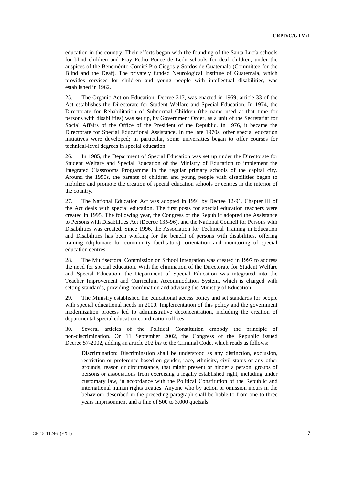education in the country. Their efforts began with the founding of the Santa Lucía schools for blind children and Fray Pedro Ponce de León schools for deaf children, under the auspices of the Benemérito Comité Pro Ciegos y Sordos de Guatemala (Committee for the Blind and the Deaf). The privately funded Neurological Institute of Guatemala, which provides services for children and young people with intellectual disabilities, was established in 1962.

25. The Organic Act on Education, Decree 317, was enacted in 1969; article 33 of the Act establishes the Directorate for Student Welfare and Special Education. In 1974, the Directorate for Rehabilitation of Subnormal Children (the name used at that time for persons with disabilities) was set up, by Government Order, as a unit of the Secretariat for Social Affairs of the Office of the President of the Republic. In 1976, it became the Directorate for Special Educational Assistance. In the late 1970s, other special education initiatives were developed; in particular, some universities began to offer courses for technical-level degrees in special education.

26. In 1985, the Department of Special Education was set up under the Directorate for Student Welfare and Special Education of the Ministry of Education to implement the Integrated Classrooms Programme in the regular primary schools of the capital city. Around the 1990s, the parents of children and young people with disabilities began to mobilize and promote the creation of special education schools or centres in the interior of the country.

27. The National Education Act was adopted in 1991 by Decree 12-91. Chapter III of the Act deals with special education. The first posts for special education teachers were created in 1995. The following year, the Congress of the Republic adopted the Assistance to Persons with Disabilities Act (Decree 135-96), and the National Council for Persons with Disabilities was created. Since 1996, the Association for Technical Training in Education and Disabilities has been working for the benefit of persons with disabilities, offering training (diplomate for community facilitators), orientation and monitoring of special education centres.

28. The Multisectoral Commission on School Integration was created in 1997 to address the need for special education. With the elimination of the Directorate for Student Welfare and Special Education, the Department of Special Education was integrated into the Teacher Improvement and Curriculum Accommodation System, which is charged with setting standards, providing coordination and advising the Ministry of Education.

29. The Ministry established the educational access policy and set standards for people with special educational needs in 2000. Implementation of this policy and the government modernization process led to administrative deconcentration, including the creation of departmental special education coordination offices.

30. Several articles of the Political Constitution embody the principle of non-discrimination. On 11 September 2002, the Congress of the Republic issued Decree 57-2002, adding an article 202 *bis* to the Criminal Code, which reads as follows:

Discrimination: Discrimination shall be understood as any distinction, exclusion, restriction or preference based on gender, race, ethnicity, civil status or any other grounds, reason or circumstance, that might prevent or hinder a person, groups of persons or associations from exercising a legally established right, including under customary law, in accordance with the Political Constitution of the Republic and international human rights treaties. Anyone who by action or omission incurs in the behaviour described in the preceding paragraph shall be liable to from one to three years imprisonment and a fine of 500 to 3,000 quetzals.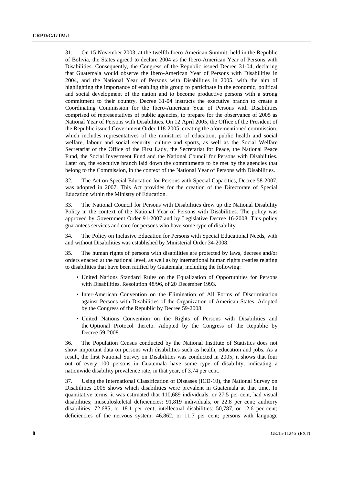31. On 15 November 2003, at the twelfth Ibero-American Summit, held in the Republic of Bolivia, the States agreed to declare 2004 as the Ibero-American Year of Persons with Disabilities. Consequently, the Congress of the Republic issued Decree 31-04, declaring that Guatemala would observe the Ibero-American Year of Persons with Disabilities in 2004, and the National Year of Persons with Disabilities in 2005, with the aim of highlighting the importance of enabling this group to participate in the economic, political and social development of the nation and to become productive persons with a strong commitment to their country. Decree 31-04 instructs the executive branch to create a Coordinating Commission for the Ibero-American Year of Persons with Disabilities comprised of representatives of public agencies, to prepare for the observance of 2005 as National Year of Persons with Disabilities. On 12 April 2005, the Office of the President of the Republic issued Government Order 118-2005, creating the aforementioned commission, which includes representatives of the ministries of education, public health and social welfare, labour and social security, culture and sports, as well as the Social Welfare Secretariat of the Office of the First Lady, the Secretariat for Peace, the National Peace Fund, the Social Investment Fund and the National Council for Persons with Disabilities. Later on, the executive branch laid down the commitments to be met by the agencies that belong to the Commission, in the context of the National Year of Persons with Disabilities.

32. The Act on Special Education for Persons with Special Capacities, Decree 58-2007, was adopted in 2007. This Act provides for the creation of the Directorate of Special Education within the Ministry of Education.

33. The National Council for Persons with Disabilities drew up the National Disability Policy in the context of the National Year of Persons with Disabilities. The policy was approved by Government Order 91-2007 and by Legislative Decree 16-2008. This policy guarantees services and care for persons who have some type of disability.

34. The Policy on Inclusive Education for Persons with Special Educational Needs, with and without Disabilities was established by Ministerial Order 34-2008.

35. The human rights of persons with disabilities are protected by laws, decrees and/or orders enacted at the national level, as well as by international human rights treaties relating to disabilities that have been ratified by Guatemala, including the following:

- United Nations Standard Rules on the Equalization of Opportunities for Persons with Disabilities. Resolution 48/96, of 20 December 1993.
- Inter-American Convention on the Elimination of All Forms of Discrimination against Persons with Disabilities of the Organization of American States. Adopted by the Congress of the Republic by Decree 59-2008.
- United Nations Convention on the Rights of Persons with Disabilities and the Optional Protocol thereto. Adopted by the Congress of the Republic by Decree 59-2008.

36. The Population Census conducted by the National Institute of Statistics does not show important data on persons with disabilities such as health, education and jobs. As a result, the first National Survey on Disabilities was conducted in 2005; it shows that four out of every 100 persons in Guatemala have some type of disability, indicating a nationwide disability prevalence rate, in that year, of 3.74 per cent.

37. Using the International Classification of Diseases (ICD-10), the National Survey on Disabilities 2005 shows which disabilities were prevalent in Guatemala at that time. In quantitative terms, it was estimated that 110,689 individuals, or 27.5 per cent, had visual disabilities; musculoskeletal deficiencies: 91,819 individuals, or 22.8 per cent; auditory disabilities: 72,685, or 18.1 per cent; intellectual disabilities: 50,787, or 12.6 per cent; deficiencies of the nervous system: 46,862, or 11.7 per cent; persons with language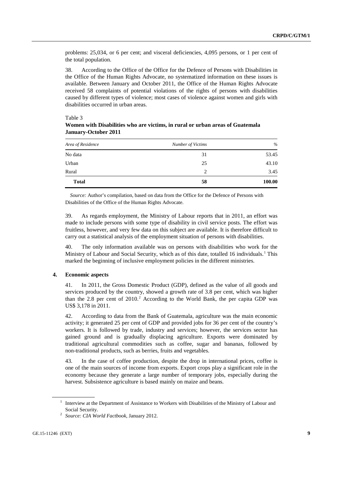problems: 25,034, or 6 per cent; and visceral deficiencies, 4,095 persons, or 1 per cent of the total population.

38. According to the Office of the Office for the Defence of Persons with Disabilities in the Office of the Human Rights Advocate, no systematized information on these issues is available. Between January and October 2011, the Office of the Human Rights Advocate received 58 complaints of potential violations of the rights of persons with disabilities caused by different types of violence; most cases of violence against women and girls with disabilities occurred in urban areas.

Table 3

|  |                      |  |  | Women with Disabilities who are victims, in rural or urban areas of Guatemala |
|--|----------------------|--|--|-------------------------------------------------------------------------------|
|  | January-October 2011 |  |  |                                                                               |

| Area of Residence | Number of Victims | $\%$   |
|-------------------|-------------------|--------|
| No data           | 31                | 53.45  |
| Urban             | 25                | 43.10  |
| Rural             | 2                 | 3.45   |
| <b>Total</b>      | 58                | 100.00 |

*Source:* Author's compilation, based on data from the Office for the Defence of Persons with Disabilities of the Office of the Human Rights Advocate.

39. As regards employment, the Ministry of Labour reports that in 2011, an effort was made to include persons with some type of disability in civil service posts. The effort was fruitless, however, and very few data on this subject are available. It is therefore difficult to carry out a statistical analysis of the employment situation of persons with disabilities.

40. The only information available was on persons with disabilities who work for the Ministry of Labour and Social Security, which as of this date, totalled [1](#page-8-0)6 individuals.<sup>1</sup> This marked the beginning of inclusive employment policies in the different ministries.

#### **4. Economic aspects**

41. In 2011, the Gross Domestic Product (GDP), defined as the value of all goods and services produced by the country, showed a growth rate of 3.8 per cent, which was higher than the  $2.8$  $2.8$  per cent of  $2010<sup>2</sup>$  According to the World Bank, the per capita GDP was US\$ 3,178 in 2011.

42. According to data from the Bank of Guatemala, agriculture was the main economic activity; it generated 25 per cent of GDP and provided jobs for 36 per cent of the country's workers. It is followed by trade, industry and services; however, the services sector has gained ground and is gradually displacing agriculture. Exports were dominated by traditional agricultural commodities such as coffee, sugar and bananas, followed by non-traditional products, such as berries, fruits and vegetables.

43. In the case of coffee production, despite the drop in international prices, coffee is one of the main sources of income from exports. Export crops play a significant role in the economy because they generate a large number of temporary jobs, especially during the harvest. Subsistence agriculture is based mainly on maize and beans.

<span id="page-8-0"></span><sup>&</sup>lt;sup>1</sup> Interview at the Department of Assistance to Workers with Disabilities of the Ministry of Labour and Social Security.

<span id="page-8-1"></span><sup>2</sup> *Source: CIA World Factbook*, January 2012.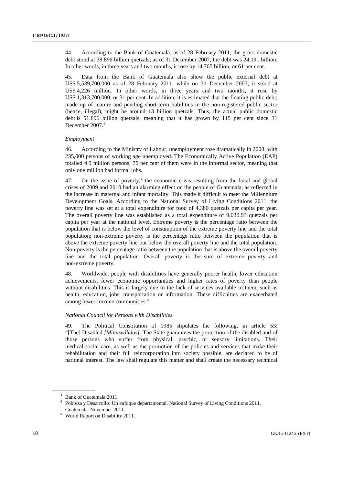44. According to the Bank of Guatemala, as of 28 February 2011, the gross domestic debt stood at 38.896 billion quetzals; as of 31 December 2007, the debt was 24.191 billion. In other words, in three years and two months, it rose by 14.705 billion, or 61 per cent.

45. Data from the Bank of Guatemala also show the public external debt at US\$ 5,539,700,000 as of 28 February 2011, while on 31 December 2007, it stood at US\$ 4,226 million. In other words, in three years and two months, it rose by US\$ 1,313,700,000, or 31 per cent. In addition, it is estimated that the floating public debt, made up of mature and pending short-term liabilities in the non-registered public sector (hence, illegal), might be around 13 billion quetzals. Thus, the actual public domestic debt is 51.896 billion quetzals, meaning that it has grown by 115 per cent since 31 December 2007.<sup>[3](#page-9-0)</sup>

#### *Employment*

46. According to the Ministry of Labour, unemployment rose dramatically in 2008, with 235,000 persons of working age unemployed. The Economically Active Population (EAP) totalled 4.9 million persons; 75 per cent of them were in the informal sector, meaning that only one million had formal jobs.

[4](#page-9-1)7. On the issue of poverty, $4$  the economic crisis resulting from the local and global crises of 2009 and 2010 had an alarming effect on the people of Guatemala, as reflected in the increase in maternal and infant mortality. This made it difficult to meet the Millennium Development Goals. According to the National Survey of Living Conditions 2011, the poverty line was set at a total expenditure for food of 4,380 quetzals per capita per year. The overall poverty line was established as a total expenditure of 9,030.93 quetzals per capita per year at the national level. Extreme poverty is the percentage ratio between the population that is below the level of consumption of the extreme poverty line and the total population; non-extreme poverty is the percentage ratio between the population that is above the extreme poverty line but below the overall poverty line and the total population. Non-poverty is the percentage ratio between the population that is above the overall poverty line and the total population. Overall poverty is the sum of extreme poverty and non-extreme poverty.

48. Worldwide, people with disabilities have generally poorer health, lower education achievements, fewer economic opportunities and higher rates of poverty than people without disabilities. This is largely due to the lack of services available to them, such as health, education, jobs, transportation or information. These difficulties are exacerbated among lower-income communities.<sup>[5](#page-9-2)</sup>

#### *National Council for Persons with Disabilities*

49. The Political Constitution of 1985 stipulates the following, in article 53: "[The] Disabled *[Minusválidos]*. The State guarantees the protection of the disabled and of those persons who suffer from physical, psychic, or sensory limitations. Their medical-social care, as well as the promotion of the policies and services that make their rehabilitation and their full reincorporation into society possible, are declared to be of national interest. The law shall regulate this matter and shall create the necessary technical

<span id="page-9-0"></span><sup>&</sup>lt;sup>3</sup> Bank of Guatemala 2011.

<span id="page-9-1"></span><sup>4</sup> Pobreza y Desarrollo: Un enfoque departamental. National Survey of Living Conditions 2011. Guatemala. November 2011.

<span id="page-9-2"></span><sup>5</sup> World Report on Disability 2011.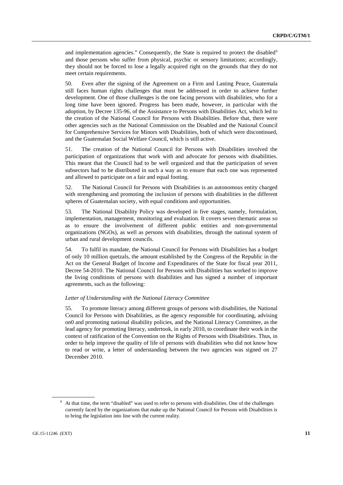and implementation agencies." Consequently, the State is required to protect the disabled<sup>[6](#page-10-0)</sup> and those persons who suffer from physical, psychic or sensory limitations; accordingly, they should not be forced to lose a legally acquired right on the grounds that they do not meet certain requirements.

50. Even after the signing of the Agreement on a Firm and Lasting Peace, Guatemala still faces human rights challenges that must be addressed in order to achieve further development. One of those challenges is the one facing persons with disabilities, who for a long time have been ignored. Progress has been made, however, in particular with the adoption, by Decree 135-96, of the Assistance to Persons with Disabilities Act, which led to the creation of the National Council for Persons with Disabilities. Before that, there were other agencies such as the National Commission on the Disabled and the National Council for Comprehensive Services for Minors with Disabilities, both of which were discontinued, and the Guatemalan Social Welfare Council, which is still active.

51. The creation of the National Council for Persons with Disabilities involved the participation of organizations that work with and advocate for persons with disabilities. This meant that the Council had to be well organized and that the participation of seven subsectors had to be distributed in such a way as to ensure that each one was represented and allowed to participate on a fair and equal footing.

52. The National Council for Persons with Disabilities is an autonomous entity charged with strengthening and promoting the inclusion of persons with disabilities in the different spheres of Guatemalan society, with equal conditions and opportunities.

53. The National Disability Policy was developed in five stages, namely, formulation, implementation, management, monitoring and evaluation. It covers seven thematic areas so as to ensure the involvement of different public entities and non-governmental organizations (NGOs), as well as persons with disabilities, through the national system of urban and rural development councils.

54. To fulfil its mandate, the National Council for Persons with Disabilities has a budget of only 10 million quetzals, the amount established by the Congress of the Republic in the Act on the General Budget of Income and Expenditures of the State for fiscal year 2011, Decree 54-2010. The National Council for Persons with Disabilities has worked to improve the living conditions of persons with disabilities and has signed a number of important agreements, such as the following:

#### *Letter of Understanding with the National Literacy Committee*

55. To promote literacy among different groups of persons with disabilities, the National Council for Persons with Disabilities, as the agency responsible for coordinating, advising on0 and promoting national disability policies, and the National Literacy Committee, as the lead agency for promoting literacy, undertook, in early 2010, to coordinate their work in the context of ratification of the Convention on the Rights of Persons with Disabilities. Thus, in order to help improve the quality of life of persons with disabilities who did not know how to read or write, a letter of understanding between the two agencies was signed on 27 December 2010.

<span id="page-10-0"></span><sup>6</sup> At that time, the term "disabled" was used to refer to persons with disabilities. One of the challenges currently faced by the organizations that make up the National Council for Persons with Disabilities is to bring the legislation into line with the current reality.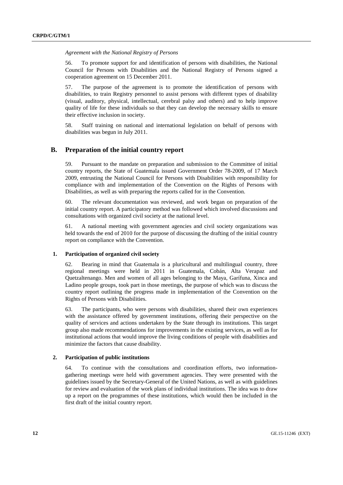*Agreement with the National Registry of Persons*

56. To promote support for and identification of persons with disabilities, the National Council for Persons with Disabilities and the National Registry of Persons signed a cooperation agreement on 15 December 2011.

57. The purpose of the agreement is to promote the identification of persons with disabilities, to train Registry personnel to assist persons with different types of disability (visual, auditory, physical, intellectual, cerebral palsy and others) and to help improve quality of life for these individuals so that they can develop the necessary skills to ensure their effective inclusion in society.

58. Staff training on national and international legislation on behalf of persons with disabilities was begun in July 2011.

# **B. Preparation of the initial country report**

59. Pursuant to the mandate on preparation and submission to the Committee of initial country reports, the State of Guatemala issued Government Order 78-2009, of 17 March 2009, entrusting the National Council for Persons with Disabilities with responsibility for compliance with and implementation of the Convention on the Rights of Persons with Disabilities, as well as with preparing the reports called for in the Convention.

60. The relevant documentation was reviewed, and work began on preparation of the initial country report. A participatory method was followed which involved discussions and consultations with organized civil society at the national level.

61. A national meeting with government agencies and civil society organizations was held towards the end of 2010 for the purpose of discussing the drafting of the initial country report on compliance with the Convention.

#### **1. Participation of organized civil society**

62. Bearing in mind that Guatemala is a pluricultural and multilingual country, three regional meetings were held in 2011 in Guatemala, Cobán, Alta Verapaz and Quetzaltenango. Men and women of all ages belonging to the Maya, Garífuna, Xinca and Ladino people groups, took part in those meetings, the purpose of which was to discuss the country report outlining the progress made in implementation of the Convention on the Rights of Persons with Disabilities.

63. The participants, who were persons with disabilities, shared their own experiences with the assistance offered by government institutions, offering their perspective on the quality of services and actions undertaken by the State through its institutions. This target group also made recommendations for improvements in the existing services, as well as for institutional actions that would improve the living conditions of people with disabilities and minimize the factors that cause disability.

### **2. Participation of public institutions**

64. To continue with the consultations and coordination efforts, two informationgathering meetings were held with government agencies. They were presented with the guidelines issued by the Secretary-General of the United Nations, as well as with guidelines for review and evaluation of the work plans of individual institutions. The idea was to draw up a report on the programmes of these institutions, which would then be included in the first draft of the initial country report.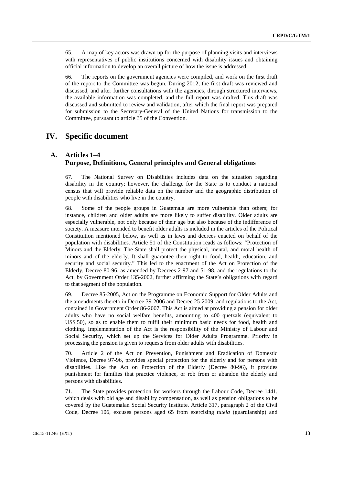65. A map of key actors was drawn up for the purpose of planning visits and interviews with representatives of public institutions concerned with disability issues and obtaining official information to develop an overall picture of how the issue is addressed.

66. The reports on the government agencies were compiled, and work on the first draft of the report to the Committee was begun. During 2012, the first draft was reviewed and discussed, and after further consultations with the agencies, through structured interviews, the available information was completed, and the full report was drafted. This draft was discussed and submitted to review and validation, after which the final report was prepared for submission to the Secretary-General of the United Nations for transmission to the Committee, pursuant to article 35 of the Convention.

# **IV. Specific document**

# **A. Articles 1–4 Purpose, Definitions, General principles and General obligations**

67. The National Survey on Disabilities includes data on the situation regarding disability in the country; however, the challenge for the State is to conduct a national census that will provide reliable data on the number and the geographic distribution of people with disabilities who live in the country.

68. Some of the people groups in Guatemala are more vulnerable than others; for instance, children and older adults are more likely to suffer disability. Older adults are especially vulnerable, not only because of their age but also because of the indifference of society. A measure intended to benefit older adults is included in the articles of the Political Constitution mentioned below, as well as in laws and decrees enacted on behalf of the population with disabilities. Article 51 of the Constitution reads as follows: "Protection of Minors and the Elderly. The State shall protect the physical, mental, and moral health of minors and of the elderly. It shall guarantee their right to food, health, education, and security and social security." This led to the enactment of the Act on Protection of the Elderly, Decree 80-96, as amended by Decrees 2-97 and 51-98, and the regulations to the Act, by Government Order 135-2002, further affirming the State's obligations with regard to that segment of the population.

69. Decree 85-2005, Act on the Programme on Economic Support for Older Adults and the amendments thereto in Decree 39-2006 and Decree 25-2009, and regulations to the Act, contained in Government Order 86-2007. This Act is aimed at providing a pension for older adults who have no social welfare benefits, amounting to 400 quetzals (equivalent to US\$ 50), so as to enable them to fulfil their minimum basic needs for food, health and clothing. Implementation of the Act is the responsibility of the Ministry of Labour and Social Security, which set up the Services for Older Adults Programme. Priority in processing the pension is given to requests from older adults with disabilities.

70. Article 2 of the Act on Prevention, Punishment and Eradication of Domestic Violence, Decree 97-96, provides special protection for the elderly and for persons with disabilities. Like the Act on Protection of the Elderly (Decree 80-96), it provides punishment for families that practice violence, or rob from or abandon the elderly and persons with disabilities.

71. The State provides protection for workers through the Labour Code, Decree 1441, which deals with old age and disability compensation, as well as pension obligations to be covered by the Guatemalan Social Security Institute. Article 317, paragraph 2 of the Civil Code, Decree 106, excuses persons aged 65 from exercising *tutela* (guardianship) and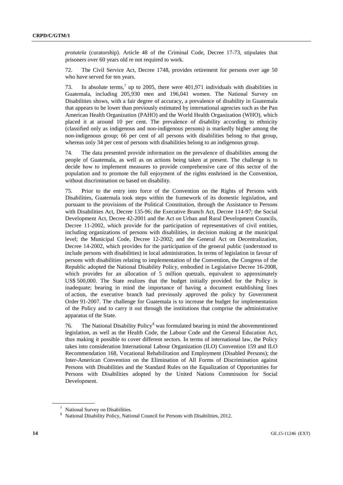*protutela* (curatorship). Article 48 of the Criminal Code, Decree 17-73, stipulates that prisoners over 60 years old re not required to work.

72. The Civil Service Act, Decree 1748, provides retirement for persons over age 50 who have served for ten years.

[7](#page-13-0)3. In absolute terms,<sup>7</sup> up to 2005, there were  $401,971$  individuals with disabilities in Guatemala, including 205,930 men and 196,041 women. The National Survey on Disabilities shows, with a fair degree of accuracy, a prevalence of disability in Guatemala that appears to be lower than previously estimated by international agencies such as the Pan American Health Organization (PAHO) and the World Health Organization (WHO), which placed it at around 10 per cent. The prevalence of disability according to ethnicity (classified only as indigenous and non-indigenous persons) is markedly higher among the non-indigenous group; 66 per cent of all persons with disabilities belong to that group, whereas only 34 per cent of persons with disabilities belong to an indigenous group.

74. The data presented provide information on the prevalence of disabilities among the people of Guatemala, as well as on actions being taken at present. The challenge is to decide how to implement measures to provide comprehensive care of this sector of the population and to promote the full enjoyment of the rights enshrined in the Convention, without discrimination on based on disability.

75. Prior to the entry into force of the Convention on the Rights of Persons with Disabilities, Guatemala took steps within the framework of its domestic legislation, and pursuant to the provisions of the Political Constitution, through the Assistance to Persons with Disabilities Act, Decree 135-96; the Executive Branch Act, Decree 114-97; the Social Development Act, Decree 42-2001 and the Act on Urban and Rural Development Councils, Decree 11-2002, which provide for the participation of representatives of civil entities, including organizations of persons with disabilities, in decision making at the municipal level; the Municipal Code, Decree 12-2002; and the General Act on Decentralization, Decree 14-2002, which provides for the participation of the general public (understood to include persons with disabilities) in local administration. In terms of legislation in favour of persons with disabilities relating to implementation of the Convention, the Congress of the Republic adopted the National Disability Policy, embodied in Legislative Decree 16-2008, which provides for an allocation of 5 million quetzals, equivalent to approximately US\$ 500,000. The State realizes that the budget initially provided for the Policy is inadequate; bearing in mind the importance of having a document establishing lines of action, the executive branch had previously approved the policy by Government Order 91-2007. The challenge for Guatemala is to increase the budget for implementation of the Policy and to carry it out through the institutions that comprise the administrative apparatus of the State.

76. The National Disability Policy<sup>[8](#page-13-1)</sup> was formulated bearing in mind the abovementioned legislation, as well as the Health Code, the Labour Code and the General Education Act, thus making it possible to cover different sectors. In terms of international law, the Policy takes into consideration International Labour Organization (ILO) Convention 159 and ILO Recommendation 168, Vocational Rehabilitation and Employment (Disabled Persons); the Inter-American Convention on the Elimination of All Forms of Discrimination against Persons with Disabilities and the Standard Rules on the Equalization of Opportunities for Persons with Disabilities adopted by the United Nations Commission for Social Development.

<span id="page-13-1"></span><span id="page-13-0"></span><sup>7</sup> National Survey on Disabilities.

<sup>8</sup> National Disability Policy, National Council for Persons with Disabilities, 2012.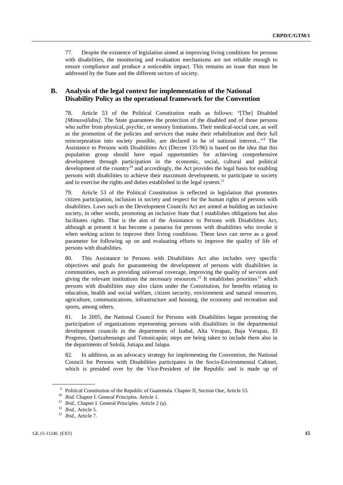77. Despite the existence of legislation aimed at improving living conditions for persons with disabilities, the monitoring and evaluation mechanisms are not reliable enough to ensure compliance and produce a noticeable impact. This remains an issue that must be addressed by the State and the different sectors of society.

# **B. Analysis of the legal context for implementation of the National Disability Policy as the operational framework for the Convention**

78. Article 53 of the Political Constitution reads as follows: "[The] Disabled *[Minusválidos]*. The State guarantees the protection of the disabled and of those persons who suffer from physical, psychic, or sensory limitations. Their medical-social care, as well as the promotion of the policies and services that make their rehabilitation and their full reincorporation into society possible, are declared to be of national interest..."[9](#page-14-0) The Assistance to Persons with Disabilities Act (Decree 135-96) is based on the idea that this population group should have equal opportunities for achieving comprehensive development through participation in the economic, social, cultural and political development of the country<sup>[10](#page-14-1)</sup> and accordingly, the Act provides the legal basis for enabling persons with disabilities to achieve their maximum development, to participate in society and to exercise the rights and duties established in the legal system.<sup>[11](#page-14-2)</sup>

79. Article 53 of the Political Constitution is reflected in legislation that promotes citizen participation, inclusion in society and respect for the human rights of persons with disabilities. Laws such as the Development Councils Act are aimed at building an inclusive society, in other words, promoting an inclusive State that l establishes obligations but also facilitates rights. That is the aim of the Assistance to Persons with Disabilities Act, although at present it has become a panacea for persons with disabilities who invoke it when seeking action to improve their living conditions. These laws can serve as a good parameter for following up on and evaluating efforts to improve the quality of life of persons with disabilities.

80. This Assistance to Persons with Disabilities Act also includes very specific objectives and goals for guaranteeing the development of persons with disabilities in communities, such as providing universal coverage, improving the quality of services and giving the relevant institutions the necessary resources.<sup>[12](#page-14-3)</sup> It establishes priorities<sup>[13](#page-14-4)</sup> which persons with disabilities may also claim under the Constitution, for benefits relating to education, health and social welfare, citizen security, environment and natural resources, agriculture, communications, infrastructure and housing, the economy and recreation and sports, among others.

81. In 2005, the National Council for Persons with Disabilities began promoting the participation of organizations representing persons with disabilities in the departmental development councils in the departments of Izabal, Alta Verapaz, Baja Verapaz, El Progreso, Quetzaltenango and Totonicapán; steps are being taken to include them also in the departments of Sololá, Jutiapa and Jalapa.

82. In addition, as an advocacy strategy for implementing the Convention, the National Council for Persons with Disabilities participates in the Socio-Environmental Cabinet, which is presided over by the Vice-President of the Republic and is made up of

<sup>&</sup>lt;sup>9</sup> Political Constitution of the Republic of Guatemala. Chapter II, Section One, Article 53.

<span id="page-14-0"></span><sup>10</sup> *Ibid.* Chapter I. General Principles. Article 1.

<span id="page-14-2"></span><span id="page-14-1"></span><sup>&</sup>lt;sup>11</sup> *Ibid.*, Chapter I. General Principles. Article 2 (a).

<span id="page-14-4"></span><span id="page-14-3"></span><sup>12</sup> *Ibid.*, Article 5.

<sup>13</sup> *Ibid.*, Article 7.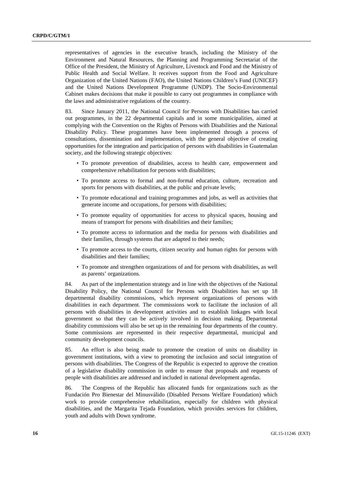representatives of agencies in the executive branch, including the Ministry of the Environment and Natural Resources, the Planning and Programming Secretariat of the Office of the President, the Ministry of Agriculture, Livestock and Food and the Ministry of Public Health and Social Welfare. It receives support from the Food and Agriculture Organization of the United Nations (FAO), the United Nations Children's Fund (UNICEF) and the United Nations Development Programme (UNDP). The Socio-Environmental Cabinet makes decisions that make it possible to carry out programmes in compliance with the laws and administrative regulations of the country.

83. Since January 2011, the National Council for Persons with Disabilities has carried out programmes, in the 22 departmental capitals and in some municipalities, aimed at complying with the Convention on the Rights of Persons with Disabilities and the National Disability Policy. These programmes have been implemented through a process of consultations, dissemination and implementation, with the general objective of creating opportunities for the integration and participation of persons with disabilities in Guatemalan society, and the following strategic objectives:

- To promote prevention of disabilities, access to health care, empowerment and comprehensive rehabilitation for persons with disabilities;
- To promote access to formal and non-formal education, culture, recreation and sports for persons with disabilities, at the public and private levels;
- To promote educational and training programmes and jobs, as well as activities that generate income and occupations, for persons with disabilities;
- To promote equality of opportunities for access to physical spaces, housing and means of transport for persons with disabilities and their families;
- To promote access to information and the media for persons with disabilities and their families, through systems that are adapted to their needs;
- To promote access to the courts, citizen security and human rights for persons with disabilities and their families;
- To promote and strengthen organizations of and for persons with disabilities, as well as parents' organizations.

84. As part of the implementation strategy and in line with the objectives of the National Disability Policy, the National Council for Persons with Disabilities has set up 18 departmental disability commissions, which represent organizations of persons with disabilities in each department. The commissions work to facilitate the inclusion of all persons with disabilities in development activities and to establish linkages with local government so that they can be actively involved in decision making. Departmental disability commissions will also be set up in the remaining four departments of the country. Some commissions are represented in their respective departmental, municipal and community development councils.

85. An effort is also being made to promote the creation of units on disability in government institutions, with a view to promoting the inclusion and social integration of persons with disabilities. The Congress of the Republic is expected to approve the creation of a legislative disability commission in order to ensure that proposals and requests of people with disabilities are addressed and included in national development agendas.

86. The Congress of the Republic has allocated funds for organizations such as the Fundación Pro Bienestar del Minusválido (Disabled Persons Welfare Foundation) which work to provide comprehensive rehabilitation, especially for children with physical disabilities, and the Margarita Tejada Foundation, which provides services for children, youth and adults with Down syndrome.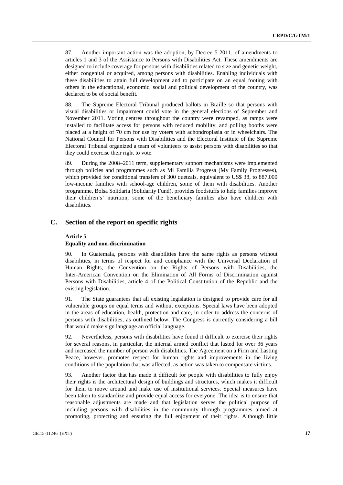87. Another important action was the adoption, by Decree 5-2011, of amendments to articles 1 and 3 of the Assistance to Persons with Disabilities Act. These amendments are designed to include coverage for persons with disabilities related to size and genetic weight, either congenital or acquired, among persons with disabilities. Enabling individuals with these disabilities to attain full development and to participate on an equal footing with others in the educational, economic, social and political development of the country, was declared to be of social benefit.

88. The Supreme Electoral Tribunal produced ballots in Braille so that persons with visual disabilities or impairment could vote in the general elections of September and November 2011. Voting centres throughout the country were revamped, as ramps were installed to facilitate access for persons with reduced mobility, and polling booths were placed at a height of 70 cm for use by voters with achondroplasia or in wheelchairs. The National Council for Persons with Disabilities and the Electoral Institute of the Supreme Electoral Tribunal organized a team of volunteers to assist persons with disabilities so that they could exercise their right to vote.

89. During the 2008–2011 term, supplementary support mechanisms were implemented through policies and programmes such as Mi Familia Progresa (My Family Progresses), which provided for conditional transfers of 300 quetzals, equivalent to US\$ 38, to 887,000 low-income families with school-age children, some of them with disabilities. Another programme, Bolsa Solidaria (Solidarity Fund), provides foodstuffs to help families improve their children's' nutrition; some of the beneficiary families also have children with disabilities.

# **C. Section of the report on specific rights**

#### **Article 5**

#### **Equality and non-discrimination**

90. In Guatemala, persons with disabilities have the same rights as persons without disabilities, in terms of respect for and compliance with the Universal Declaration of Human Rights, the Convention on the Rights of Persons with Disabilities, the Inter-American Convention on the Elimination of All Forms of Discrimination against Persons with Disabilities, article 4 of the Political Constitution of the Republic and the existing legislation.

91. The State guarantees that all existing legislation is designed to provide care for all vulnerable groups on equal terms and without exceptions. Special laws have been adopted in the areas of education, health, protection and care, in order to address the concerns of persons with disabilities, as outlined below. The Congress is currently considering a bill that would make sign language an official language.

92. Nevertheless, persons with disabilities have found it difficult to exercise their rights for several reasons, in particular, the internal armed conflict that lasted for over 36 years and increased the number of person with disabilities. The Agreement on a Firm and Lasting Peace, however, promotes respect for human rights and improvements in the living conditions of the population that was affected, as action was taken to compensate victims.

93. Another factor that has made it difficult for people with disabilities to fully enjoy their rights is the architectural design of buildings and structures, which makes it difficult for them to move around and make use of institutional services. Special measures have been taken to standardize and provide equal access for everyone. The idea is to ensure that reasonable adjustments are made and that legislation serves the political purpose of including persons with disabilities in the community through programmes aimed at promoting, protecting and ensuring the full enjoyment of their rights. Although little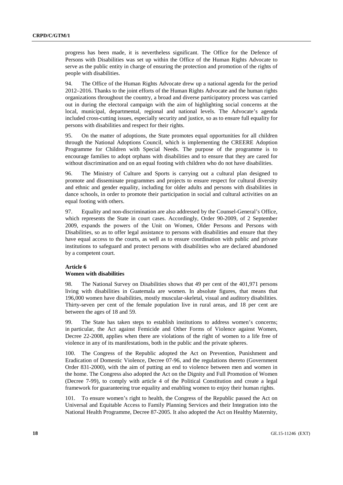progress has been made, it is nevertheless significant. The Office for the Defence of Persons with Disabilities was set up within the Office of the Human Rights Advocate to serve as the public entity in charge of ensuring the protection and promotion of the rights of people with disabilities.

94. The Office of the Human Rights Advocate drew up a national agenda for the period 2012–2016. Thanks to the joint efforts of the Human Rights Advocate and the human rights organizations throughout the country, a broad and diverse participatory process was carried out in during the electoral campaign with the aim of highlighting social concerns at the local, municipal, departmental, regional and national levels. The Advocate's agenda included cross-cutting issues, especially security and justice, so as to ensure full equality for persons with disabilities and respect for their rights.

95. On the matter of adoptions, the State promotes equal opportunities for all children through the National Adoptions Council, which is implementing the CREERE Adoption Programme for Children with Special Needs. The purpose of the programme is to encourage families to adopt orphans with disabilities and to ensure that they are cared for without discrimination and on an equal footing with children who do not have disabilities.

96. The Ministry of Culture and Sports is carrying out a cultural plan designed to promote and disseminate programmes and projects to ensure respect for cultural diversity and ethnic and gender equality, including for older adults and persons with disabilities in dance schools, in order to promote their participation in social and cultural activities on an equal footing with others.

97. Equality and non-discrimination are also addressed by the Counsel-General's Office, which represents the State in court cases. Accordingly, Order 90-2009, of 2 September 2009, expands the powers of the Unit on Women, Older Persons and Persons with Disabilities, so as to offer legal assistance to persons with disabilities and ensure that they have equal access to the courts, as well as to ensure coordination with public and private institutions to safeguard and protect persons with disabilities who are declared abandoned by a competent court.

#### **Article 6**

### **Women with disabilities**

98. The National Survey on Disabilities shows that 49 per cent of the 401,971 persons living with disabilities in Guatemala are women. In absolute figures, that means that 196,000 women have disabilities, mostly muscular-skeletal, visual and auditory disabilities. Thirty-seven per cent of the female population live in rural areas, and 18 per cent are between the ages of 18 and 59.

99. The State has taken steps to establish institutions to address women's concerns; in particular, the Act against Femicide and Other Forms of Violence against Women, Decree 22-2008, applies when there are violations of the right of women to a life free of violence in any of its manifestations, both in the public and the private spheres.

100. The Congress of the Republic adopted the Act on Prevention, Punishment and Eradication of Domestic Violence, Decree 07-96, and the regulations thereto (Government Order 831-2000), with the aim of putting an end to violence between men and women in the home. The Congress also adopted the Act on the Dignity and Full Promotion of Women (Decree 7-99), to comply with article 4 of the Political Constitution and create a legal framework for guaranteeing true equality and enabling women to enjoy their human rights.

101. To ensure women's right to health, the Congress of the Republic passed the Act on Universal and Equitable Access to Family Planning Services and their Integration into the National Health Programme, Decree 87-2005. It also adopted the Act on Healthy Maternity,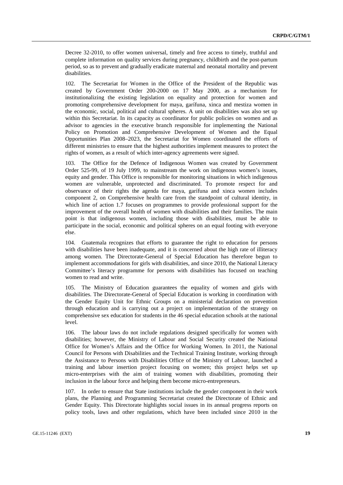Decree 32-2010, to offer women universal, timely and free access to timely, truthful and complete information on quality services during pregnancy, childbirth and the post-partum period, so as to prevent and gradually eradicate maternal and neonatal mortality and prevent disabilities.

102. The Secretariat for Women in the Office of the President of the Republic was created by Government Order 200-2000 on 17 May 2000, as a mechanism for institutionalizing the existing legislation on equality and protection for women and promoting comprehensive development for maya, garífuna, xinca and mestiza women in the economic, social, political and cultural spheres. A unit on disabilities was also set up within this Secretariat. In its capacity as coordinator for public policies on women and as advisor to agencies in the executive branch responsible for implementing the National Policy on Promotion and Comprehensive Development of Women and the Equal Opportunities Plan 2008–2023, the Secretariat for Women coordinated the efforts of different ministries to ensure that the highest authorities implement measures to protect the rights of women, as a result of which inter-agency agreements were signed.

103. The Office for the Defence of Indigenous Women was created by Government Order 525-99, of 19 July 1999, to mainstream the work on indigenous women's issues, equity and gender. This Office is responsible for monitoring situations in which indigenous women are vulnerable, unprotected and discriminated. To promote respect for and observance of their rights the agenda for maya, garífuna and xinca women includes component 2, on Comprehensive health care from the standpoint of cultural identity, in which line of action 1.7 focuses on programmes to provide professional support for the improvement of the overall health of women with disabilities and their families. The main point is that indigenous women, including those with disabilities, must be able to participate in the social, economic and political spheres on an equal footing with everyone else.

104. Guatemala recognizes that efforts to guarantee the right to education for persons with disabilities have been inadequate, and it is concerned about the high rate of illiteracy among women. The Directorate-General of Special Education has therefore begun to implement accommodations for girls with disabilities, and since 2010, the National Literacy Committee's literacy programme for persons with disabilities has focused on teaching women to read and write.

105. The Ministry of Education guarantees the equality of women and girls with disabilities. The Directorate-General of Special Education is working in coordination with the Gender Equity Unit for Ethnic Groups on a ministerial declaration on prevention through education and is carrying out a project on implementation of the strategy on comprehensive sex education for students in the 46 special education schools at the national level.

106. The labour laws do not include regulations designed specifically for women with disabilities; however, the Ministry of Labour and Social Security created the National Office for Women's Affairs and the Office for Working Women. In 2011, the National Council for Persons with Disabilities and the Technical Training Institute, working through the Assistance to Persons with Disabilities Office of the Ministry of Labour, launched a training and labour insertion project focusing on women; this project helps set up micro-enterprises with the aim of training women with disabilities, promoting their inclusion in the labour force and helping them become micro-entrepreneurs.

107. In order to ensure that State institutions include the gender component in their work plans, the Planning and Programming Secretariat created the Directorate of Ethnic and Gender Equity. This Directorate highlights social issues in its annual progress reports on policy tools, laws and other regulations, which have been included since 2010 in the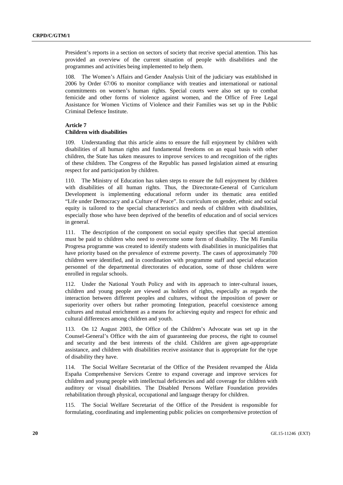President's reports in a section on sectors of society that receive special attention. This has provided an overview of the current situation of people with disabilities and the programmes and activities being implemented to help them.

108. The Women's Affairs and Gender Analysis Unit of the judiciary was established in 2006 by Order 67/06 to monitor compliance with treaties and international or national commitments on women's human rights. Special courts were also set up to combat femicide and other forms of violence against women, and the Office of Free Legal Assistance for Women Victims of Violence and their Families was set up in the Public Criminal Defence Institute.

## **Article 7**

#### **Children with disabilities**

109. Understanding that this article aims to ensure the full enjoyment by children with disabilities of all human rights and fundamental freedoms on an equal basis with other children, the State has taken measures to improve services to and recognition of the rights of these children. The Congress of the Republic has passed legislation aimed at ensuring respect for and participation by children.

110. The Ministry of Education has taken steps to ensure the full enjoyment by children with disabilities of all human rights. Thus, the Directorate-General of Curriculum Development is implementing educational reform under its thematic area entitled "Life under Democracy and a Culture of Peace". Its curriculum on gender, ethnic and social equity is tailored to the special characteristics and needs of children with disabilities, especially those who have been deprived of the benefits of education and of social services in general.

111. The description of the component on social equity specifies that special attention must be paid to children who need to overcome some form of disability. The Mi Familia Progresa programme was created to identify students with disabilities in municipalities that have priority based on the prevalence of extreme poverty. The cases of approximately 700 children were identified, and in coordination with programme staff and special education personnel of the departmental directorates of education, some of those children were enrolled in regular schools.

112. Under the National Youth Policy and with its approach to inter-cultural issues, children and young people are viewed as holders of rights, especially as regards the interaction between different peoples and cultures, without the imposition of power or superiority over others but rather promoting Integration, peaceful coexistence among cultures and mutual enrichment as a means for achieving equity and respect for ethnic and cultural differences among children and youth.

113. On 12 August 2003, the Office of the Children's Advocate was set up in the Counsel-General's Office with the aim of guaranteeing due process, the right to counsel and security and the best interests of the child. Children are given age-appropriate assistance, and children with disabilities receive assistance that is appropriate for the type of disability they have.

114. The Social Welfare Secretariat of the Office of the President revamped the Álida España Comprehensive Services Centre to expand coverage and improve services for children and young people with intellectual deficiencies and add coverage for children with auditory or visual disabilities. The Disabled Persons Welfare Foundation provides rehabilitation through physical, occupational and language therapy for children.

115. The Social Welfare Secretariat of the Office of the President is responsible for formulating, coordinating and implementing public policies on comprehensive protection of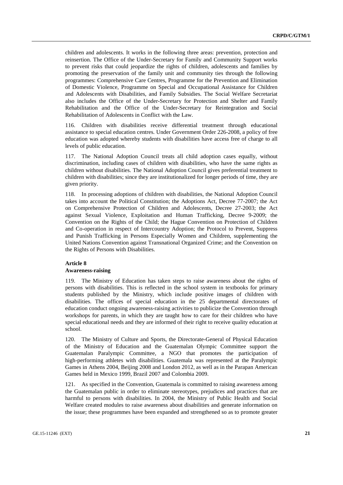children and adolescents. It works in the following three areas: prevention, protection and reinsertion. The Office of the Under-Secretary for Family and Community Support works to prevent risks that could jeopardize the rights of children, adolescents and families by promoting the preservation of the family unit and community ties through the following programmes: Comprehensive Care Centres, Programme for the Prevention and Elimination of Domestic Violence, Programme on Special and Occupational Assistance for Children and Adolescents with Disabilities, and Family Subsidies. The Social Welfare Secretariat also includes the Office of the Under-Secretary for Protection and Shelter and Family Rehabilitation and the Office of the Under-Secretary for Reintegration and Social Rehabilitation of Adolescents in Conflict with the Law.

116. Children with disabilities receive differential treatment through educational assistance to special education centres. Under Government Order 226-2008, a policy of free education was adopted whereby students with disabilities have access free of charge to all levels of public education.

117. The National Adoption Council treats all child adoption cases equally, without discrimination, including cases of children with disabilities, who have the same rights as children without disabilities. The National Adoption Council gives preferential treatment to children with disabilities; since they are institutionalized for longer periods of time, they are given priority.

118. In processing adoptions of children with disabilities, the National Adoption Council takes into account the Political Constitution; the Adoptions Act, Decree 77-2007; the Act on Comprehensive Protection of Children and Adolescents, Decree 27-2003; the Act against Sexual Violence, Exploitation and Human Trafficking, Decree 9-2009; the Convention on the Rights of the Child; the Hague Convention on Protection of Children and Co-operation in respect of Intercountry Adoption; the Protocol to Prevent, Suppress and Punish Trafficking in Persons Especially Women and Children, supplementing the United Nations Convention against Transnational Organized Crime; and the Convention on the Rights of Persons with Disabilities.

# **Article 8**

# **Awareness-raising**

119. The Ministry of Education has taken steps to raise awareness about the rights of persons with disabilities. This is reflected in the school system in textbooks for primary students published by the Ministry, which include positive images of children with disabilities. The offices of special education in the 25 departmental directorates of education conduct ongoing awareness-raising activities to publicize the Convention through workshops for parents, in which they are taught how to care for their children who have special educational needs and they are informed of their right to receive quality education at school.

120. The Ministry of Culture and Sports, the Directorate-General of Physical Education of the Ministry of Education and the Guatemalan Olympic Committee support the Guatemalan Paralympic Committee, a NGO that promotes the participation of high-performing athletes with disabilities. Guatemala was represented at the Paralympic Games in Athens 2004, Beijing 2008 and London 2012, as well as in the Parapan American Games held in Mexico 1999, Brazil 2007 and Colombia 2009.

121. As specified in the Convention, Guatemala is committed to raising awareness among the Guatemalan public in order to eliminate stereotypes, prejudices and practices that are harmful to persons with disabilities. In 2004, the Ministry of Public Health and Social Welfare created modules to raise awareness about disabilities and generate information on the issue; these programmes have been expanded and strengthened so as to promote greater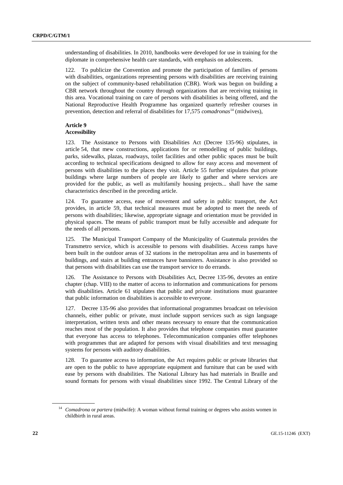understanding of disabilities. In 2010, handbooks were developed for use in training for the diplomate in comprehensive health care standards, with emphasis on adolescents.

122. To publicize the Convention and promote the participation of families of persons with disabilities, organizations representing persons with disabilities are receiving training on the subject of community-based rehabilitation (CBR). Work was begun on building a CBR network throughout the country through organizations that are receiving training in this area. Vocational training on care of persons with disabilities is being offered, and the National Reproductive Health Programme has organized quarterly refresher courses in prevention, detection and referral of disabilities for 17,575 *comadronas*<sup>[14](#page-21-0)</sup> (midwives),

# **Article 9**

#### **Accessibility**

123. The Assistance to Persons with Disabilities Act (Decree 135-96) stipulates, in article 54, that mew constructions, applications for or remodelling of public buildings, parks, sidewalks, plazas, roadways, toilet facilities and other public spaces must be built according to technical specifications designed to allow for easy access and movement of persons with disabilities to the places they visit. Article 55 further stipulates that private buildings where large numbers of people are likely to gather and where services are provided for the public, as well as multifamily housing projects... shall have the same characteristics described in the preceding article.

124. To guarantee access, ease of movement and safety in public transport, the Act provides, in article 59, that technical measures must be adopted to meet the needs of persons with disabilities; likewise, appropriate signage and orientation must be provided in physical spaces. The means of public transport must be fully accessible and adequate for the needs of all persons.

125. The Municipal Transport Company of the Municipality of Guatemala provides the Transmetro service, which is accessible to persons with disabilities. Access ramps have been built in the outdoor areas of 32 stations in the metropolitan area and in basements of buildings, and stairs at building entrances have bannisters. Assistance is also provided so that persons with disabilities can use the transport service to do errands.

126. The Assistance to Persons with Disabilities Act, Decree 135-96, devotes an entire chapter (chap. VIII) to the matter of access to information and communications for persons with disabilities. Article 61 stipulates that public and private institutions must guarantee that public information on disabilities is accessible to everyone.

127. Decree 135-96 also provides that informational programmes broadcast on television channels, either public or private, must include support services such as sign language interpretation, written texts and other means necessary to ensure that the communication reaches most of the population. It also provides that telephone companies must guarantee that everyone has access to telephones. Telecommunication companies offer telephones with programmes that are adapted for persons with visual disabilities and text messaging systems for persons with auditory disabilities.

128. To guarantee access to information, the Act requires public or private libraries that are open to the public to have appropriate equipment and furniture that can be used with ease by persons with disabilities. The National Library has had materials in Braille and sound formats for persons with visual disabilities since 1992. The Central Library of the

<span id="page-21-0"></span><sup>14</sup> *Comadrona* or *partera* (midwife): A woman without formal training or degrees who assists women in childbirth in rural areas.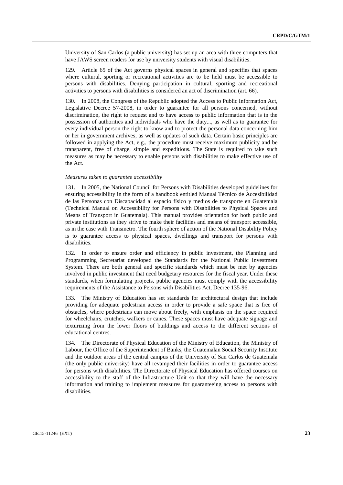University of San Carlos (a public university) has set up an area with three computers that have JAWS screen readers for use by university students with visual disabilities.

129. Article 65 of the Act governs physical spaces in general and specifies that spaces where cultural, sporting or recreational activities are to be held must be accessible to persons with disabilities. Denying participation in cultural, sporting and recreational activities to persons with disabilities is considered an act of discrimination (art. 66).

130. In 2008, the Congress of the Republic adopted the Access to Public Information Act, Legislative Decree 57-2008, in order to guarantee for all persons concerned, without discrimination, the right to request and to have access to public information that is in the possession of authorities and individuals who have the duty..., as well as to guarantee for every individual person the right to know and to protect the personal data concerning him or her in government archives, as well as updates of such data. Certain basic principles are followed in applying the Act, e.g., the procedure must receive maximum publicity and be transparent, free of charge, simple and expeditious. The State is required to take such measures as may be necessary to enable persons with disabilities to make effective use of the Act.

#### *Measures taken to guarantee accessibility*

131. In 2005, the National Council for Persons with Disabilities developed guidelines for ensuring accessibility in the form of a handbook entitled Manual Técnico de Accesibilidad de las Personas con Discapacidad al espacio físico y medios de transporte en Guatemala (Technical Manual on Accessibility for Persons with Disabilities to Physical Spaces and Means of Transport in Guatemala). This manual provides orientation for both public and private institutions as they strive to make their facilities and means of transport accessible, as in the case with Transmetro. The fourth sphere of action of the National Disability Policy is to guarantee access to physical spaces, dwellings and transport for persons with disabilities.

132. In order to ensure order and efficiency in public investment, the Planning and Programming Secretariat developed the Standards for the National Public Investment System. There are both general and specific standards which must be met by agencies involved in public investment that need budgetary resources for the fiscal year. Under these standards, when formulating projects, public agencies must comply with the accessibility requirements of the Assistance to Persons with Disabilities Act, Decree 135-96.

133. The Ministry of Education has set standards for architectural design that include providing for adequate pedestrian access in order to provide a safe space that is free of obstacles, where pedestrians can move about freely, with emphasis on the space required for wheelchairs, crutches, walkers or canes. These spaces must have adequate signage and texturizing from the lower floors of buildings and access to the different sections of educational centres.

134. The Directorate of Physical Education of the Ministry of Education, the Ministry of Labour, the Office of the Superintendent of Banks, the Guatemalan Social Security Institute and the outdoor areas of the central campus of the University of San Carlos de Guatemala (the only public university) have all revamped their facilities in order to guarantee access for persons with disabilities. The Directorate of Physical Education has offered courses on accessibility to the staff of the Infrastructure Unit so that they will have the necessary information and training to implement measures for guaranteeing access to persons with disabilities.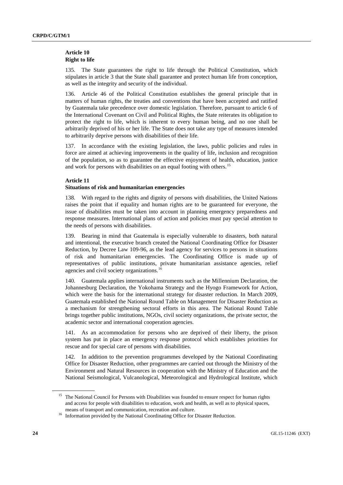#### **Article 10 Right to life**

135. The State guarantees the right to life through the Political Constitution, which stipulates in article 3 that the State shall guarantee and protect human life from conception, as well as the integrity and security of the individual.

136. Article 46 of the Political Constitution establishes the general principle that in matters of human rights, the treaties and conventions that have been accepted and ratified by Guatemala take precedence over domestic legislation. Therefore, pursuant to article 6 of the International Covenant on Civil and Political Rights, the State reiterates its obligation to protect the right to life, which is inherent to every human being, and no one shall be arbitrarily deprived of his or her life. The State does not take any type of measures intended to arbitrarily deprive persons with disabilities of their life.

137. In accordance with the existing legislation, the laws, public policies and rules in force are aimed at achieving improvements in the quality of life, inclusion and recognition of the population, so as to guarantee the effective enjoyment of health, education, justice and work for persons with disabilities on an equal footing with others. [15](#page-23-0)

#### **Article 11**

#### **Situations of risk and humanitarian emergencies**

138. With regard to the rights and dignity of persons with disabilities, the United Nations raises the point that if equality and human rights are to be guaranteed for everyone, the issue of disabilities must be taken into account in planning emergency preparedness and response measures. International plans of action and policies must pay special attention to the needs of persons with disabilities.

139. Bearing in mind that Guatemala is especially vulnerable to disasters, both natural and intentional, the executive branch created the National Coordinating Office for Disaster Reduction, by Decree Law 109-96, as the lead agency for services to persons in situations of risk and humanitarian emergencies. The Coordinating Office is made up of representatives of public institutions, private humanitarian assistance agencies, relief agencies and civil society organizations.[16](#page-23-1)

140. Guatemala applies international instruments such as the Millennium Declaration, the Johannesburg Declaration, the Yokohama Strategy and the Hyogo Framework for Action, which were the basis for the international strategy for disaster reduction. In March 2009, Guatemala established the National Round Table on Management for Disaster Reduction as a mechanism for strengthening sectoral efforts in this area. The National Round Table brings together public institutions, NGOs, civil society organizations, the private sector, the academic sector and international cooperation agencies.

141. As an accommodation for persons who are deprived of their liberty, the prison system has put in place an emergency response protocol which establishes priorities for rescue and for special care of persons with disabilities.

142. In addition to the prevention programmes developed by the National Coordinating Office for Disaster Reduction, other programmes are carried out through the Ministry of the Environment and Natural Resources in cooperation with the Ministry of Education and the National Seismological, Vulcanological, Meteorological and Hydrological Institute, which

<span id="page-23-0"></span><sup>&</sup>lt;sup>15</sup> The National Council for Persons with Disabilities was founded to ensure respect for human rights and access for people with disabilities to education, work and health, as well as to physical spaces, means of transport and communication, recreation and culture.

<span id="page-23-1"></span><sup>&</sup>lt;sup>16</sup> Information provided by the National Coordinating Office for Disaster Reduction.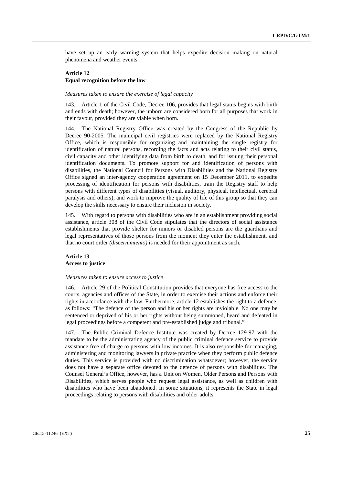have set up an early warning system that helps expedite decision making on natural phenomena and weather events.

# **Article 12 Equal recognition before the law**

#### *Measures taken to ensure the exercise of legal capacity*

143. Article 1 of the Civil Code, Decree 106, provides that legal status begins with birth and ends with death; however, the unborn are considered born for all purposes that work in their favour, provided they are viable when born.

144. The National Registry Office was created by the Congress of the Republic by Decree 90-2005. The municipal civil registries were replaced by the National Registry Office, which is responsible for organizing and maintaining the single registry for identification of natural persons, recording the facts and acts relating to their civil status, civil capacity and other identifying data from birth to death, and for issuing their personal identification documents. To promote support for and identification of persons with disabilities, the National Council for Persons with Disabilities and the National Registry Office signed an inter-agency cooperation agreement on 15 December 2011, to expedite processing of identification for persons with disabilities, train the Registry staff to help persons with different types of disabilities (visual, auditory, physical, intellectual, cerebral paralysis and others), and work to improve the quality of life of this group so that they can develop the skills necessary to ensure their inclusion in society.

145. With regard to persons with disabilities who are in an establishment providing social assistance, article 308 of the Civil Code stipulates that the directors of social assistance establishments that provide shelter for minors or disabled persons are the guardians and legal representatives of those persons from the moment they enter the establishment, and that no court order *(discernimiento)* is needed for their appointment as such.

### **Article 13 Access to justice**

#### *Measures taken to ensure access to justice*

146. Article 29 of the Political Constitution provides that everyone has free access to the courts, agencies and offices of the State, in order to exercise their actions and enforce their rights in accordance with the law. Furthermore, article 12 establishes the right to a defence, as follows: "The defence of the person and his or her rights are inviolable. No one may be sentenced or deprived of his or her rights without being summoned, heard and defeated in legal proceedings before a competent and pre-established judge and tribunal."

147. The Public Criminal Defence Institute was created by Decree 129-97 with the mandate to be the administrating agency of the public criminal defence service to provide assistance free of charge to persons with low incomes. It is also responsible for managing, administering and monitoring lawyers in private practice when they perform public defence duties. This service is provided with no discrimination whatsoever; however, the service does not have a separate office devoted to the defence of persons with disabilities. The Counsel General's Office, however, has a Unit on Women, Older Persons and Persons with Disabilities, which serves people who request legal assistance, as well as children with disabilities who have been abandoned. In some situations, it represents the State in legal proceedings relating to persons with disabilities and older adults.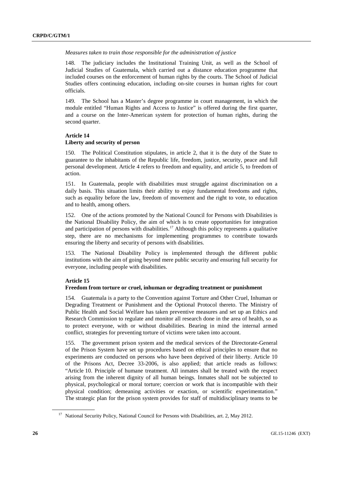#### *Measures taken to train those responsible for the administration of justice*

148. The judiciary includes the Institutional Training Unit, as well as the School of Judicial Studies of Guatemala, which carried out a distance education programme that included courses on the enforcement of human rights by the courts. The School of Judicial Studies offers continuing education, including on-site courses in human rights for court officials.

149. The School has a Master's degree programme in court management, in which the module entitled "Human Rights and Access to Justice" is offered during the first quarter, and a course on the Inter-American system for protection of human rights, during the second quarter.

#### **Article 14**

#### **Liberty and security of person**

150. The Political Constitution stipulates, in article 2, that it is the duty of the State to guarantee to the inhabitants of the Republic life, freedom, justice, security, peace and full personal development. Article 4 refers to freedom and equality, and article 5, to freedom of action.

151. In Guatemala, people with disabilities must struggle against discrimination on a daily basis. This situation limits their ability to enjoy fundamental freedoms and rights, such as equality before the law, freedom of movement and the right to vote, to education and to health, among others.

152. One of the actions promoted by the National Council for Persons with Disabilities is the National Disability Policy, the aim of which is to create opportunities for integration and participation of persons with disabilities.<sup>[17](#page-25-0)</sup> Although this policy represents a qualitative step, there are no mechanisms for implementing programmes to contribute towards ensuring the liberty and security of persons with disabilities.

153. The National Disability Policy is implemented through the different public institutions with the aim of going beyond mere public security and ensuring full security for everyone, including people with disabilities.

#### **Article 15**

#### **Freedom from torture or cruel, inhuman or degrading treatment or punishment**

154. Guatemala is a party to the Convention against Torture and Other Cruel, Inhuman or Degrading Treatment or Punishment and the Optional Protocol thereto. The Ministry of Public Health and Social Welfare has taken preventive measures and set up an Ethics and Research Commission to regulate and monitor all research done in the area of health, so as to protect everyone, with or without disabilities. Bearing in mind the internal armed conflict, strategies for preventing torture of victims were taken into account.

155. The government prison system and the medical services of the Directorate-General of the Prison System have set up procedures based on ethical principles to ensure that no experiments are conducted on persons who have been deprived of their liberty. Article 10 of the Prisons Act, Decree 33-2006, is also applied; that article reads as follows: "Article 10. Principle of humane treatment. All inmates shall be treated with the respect arising from the inherent dignity of all human beings. Inmates shall not be subjected to physical, psychological or moral torture; coercion or work that is incompatible with their physical condition; demeaning activities or exaction, or scientific experimentation." The strategic plan for the prison system provides for staff of multidisciplinary teams to be

<span id="page-25-0"></span><sup>&</sup>lt;sup>17</sup> National Security Policy, National Council for Persons with Disabilities, art. 2, May 2012.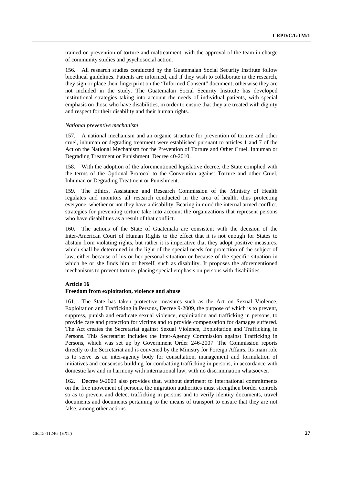trained on prevention of torture and maltreatment, with the approval of the team in charge of community studies and psychosocial action.

156. All research studies conducted by the Guatemalan Social Security Institute follow bioethical guidelines. Patients are informed, and if they wish to collaborate in the research, they sign or place their fingerprint on the "Informed Consent" document; otherwise they are not included in the study. The Guatemalan Social Security Institute has developed institutional strategies taking into account the needs of individual patients, with special emphasis on those who have disabilities, in order to ensure that they are treated with dignity and respect for their disability and their human rights.

#### *National preventive mechanism*

157. A national mechanism and an organic structure for prevention of torture and other cruel, inhuman or degrading treatment were established pursuant to articles 1 and 7 of the Act on the National Mechanism for the Prevention of Torture and Other Cruel, Inhuman or Degrading Treatment or Punishment, Decree 40-2010.

158. With the adoption of the aforementioned legislative decree, the State complied with the terms of the Optional Protocol to the Convention against Torture and other Cruel, Inhuman or Degrading Treatment or Punishment.

159. The Ethics, Assistance and Research Commission of the Ministry of Health regulates and monitors all research conducted in the area of health, thus protecting everyone, whether or not they have a disability. Bearing in mind the internal armed conflict, strategies for preventing torture take into account the organizations that represent persons who have disabilities as a result of that conflict.

160. The actions of the State of Guatemala are consistent with the decision of the Inter-American Court of Human Rights to the effect that it is not enough for States to abstain from violating rights, but rather it is imperative that they adopt positive measures, which shall be determined in the light of the special needs for protection of the subject of law, either because of his or her personal situation or because of the specific situation in which he or she finds him or herself, such as disability. It proposes the aforementioned mechanisms to prevent torture, placing special emphasis on persons with disabilities.

#### **Article 16**

#### **Freedom from exploitation, violence and abuse**

161. The State has taken protective measures such as the Act on Sexual Violence, Exploitation and Trafficking in Persons, Decree 9-2009, the purpose of which is to prevent, suppress, punish and eradicate sexual violence, exploitation and trafficking in persons, to provide care and protection for victims and to provide compensation for damages suffered. The Act creates the Secretariat against Sexual Violence, Exploitation and Trafficking in Persons. This Secretariat includes the Inter-Agency Commission against Trafficking in Persons, which was set up by Government Order 246-2007. The Commission reports directly to the Secretariat and is convened by the Ministry for Foreign Affairs. Its main role is to serve as an inter-agency body for consultation, management and formulation of initiatives and consensus building for combatting trafficking in persons, in accordance with domestic law and in harmony with international law, with no discrimination whatsoever.

162. Decree 9-2009 also provides that, without detriment to international commitments on the free movement of persons, the migration authorities must strengthen border controls so as to prevent and detect trafficking in persons and to verify identity documents, travel documents and documents pertaining to the means of transport to ensure that they are not false, among other actions.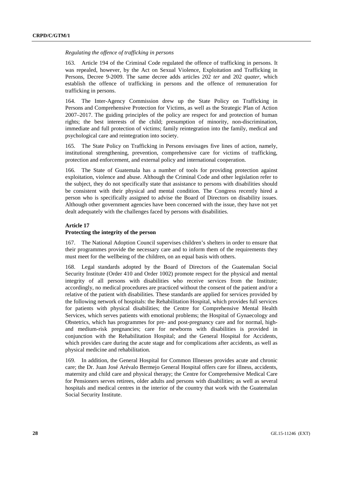#### *Regulating the offence of trafficking in persons*

163. Article 194 of the Criminal Code regulated the offence of trafficking in persons. It was repealed, however, by the Act on Sexual Violence, Exploitation and Trafficking in Persons, Decree 9-2009. The same decree adds articles 202 *ter* and 202 *quater*, which establish the offence of trafficking in persons and the offence of remuneration for trafficking in persons.

164. The Inter-Agency Commission drew up the State Policy on Trafficking in Persons and Comprehensive Protection for Victims, as well as the Strategic Plan of Action 2007–2017. The guiding principles of the policy are respect for and protection of human rights; the best interests of the child; presumption of minority, non-discrimination, immediate and full protection of victims; family reintegration into the family, medical and psychological care and reintegration into society.

165. The State Policy on Trafficking in Persons envisages five lines of action, namely, institutional strengthening, prevention, comprehensive care for victims of trafficking, protection and enforcement, and external policy and international cooperation.

166. The State of Guatemala has a number of tools for providing protection against exploitation, violence and abuse. Although the Criminal Code and other legislation refer to the subject, they do not specifically state that assistance to persons with disabilities should be consistent with their physical and mental condition. The Congress recently hired a person who is specifically assigned to advise the Board of Directors on disability issues. Although other government agencies have been concerned with the issue, they have not yet dealt adequately with the challenges faced by persons with disabilities.

# **Article 17**

#### **Protecting the integrity of the person**

167. The National Adoption Council supervises children's shelters in order to ensure that their programmes provide the necessary care and to inform them of the requirements they must meet for the wellbeing of the children, on an equal basis with others.

168. Legal standards adopted by the Board of Directors of the Guatemalan Social Security Institute (Order 410 and Order 1002) promote respect for the physical and mental integrity of all persons with disabilities who receive services from the Institute; accordingly, no medical procedures are practiced without the consent of the patient and/or a relative of the patient with disabilities. These standards are applied for services provided by the following network of hospitals: the Rehabilitation Hospital, which provides full services for patients with physical disabilities; the Centre for Comprehensive Mental Health Services, which serves patients with emotional problems; the Hospital of Gynaecology and Obstetrics, which has programmes for pre- and post-pregnancy care and for normal, highand medium-risk pregnancies; care for newborns with disabilities is provided in conjunction with the Rehabilitation Hospital; and the General Hospital for Accidents, which provides care during the acute stage and for complications after accidents, as well as physical medicine and rehabilitation.

169. In addition, the General Hospital for Common Illnesses provides acute and chronic care; the Dr. Juan José Arévalo Bermejo General Hospital offers care for illness, accidents, maternity and child care and physical therapy; the Centre for Comprehensive Medical Care for Pensioners serves retirees, older adults and persons with disabilities; as well as several hospitals and medical centres in the interior of the country that work with the Guatemalan Social Security Institute.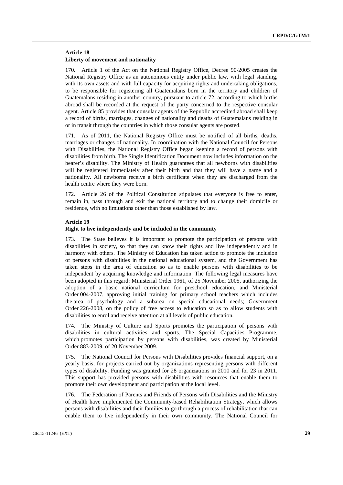## **Article 18 Liberty of movement and nationality**

170. Article 1 of the Act on the National Registry Office, Decree 90-2005 creates the National Registry Office as an autonomous entity under public law, with legal standing, with its own assets and with full capacity for acquiring rights and undertaking obligations, to be responsible for registering all Guatemalans born in the territory and children of Guatemalans residing in another country, pursuant to article 72, according to which births abroad shall be recorded at the request of the party concerned to the respective consular agent. Article 85 provides that consular agents of the Republic accredited abroad shall keep a record of births, marriages, changes of nationality and deaths of Guatemalans residing in or in transit through the countries in which those consular agents are posted.

As of 2011, the National Registry Office must be notified of all births, deaths, marriages or changes of nationality. In coordination with the National Council for Persons with Disabilities, the National Registry Office began keeping a record of persons with disabilities from birth. The Single Identification Document now includes information on the bearer's disability. The Ministry of Health guarantees that all newborns with disabilities will be registered immediately after their birth and that they will have a name and a nationality. All newborns receive a birth certificate when they are discharged from the health centre where they were born.

172. Article 26 of the Political Constitution stipulates that everyone is free to enter, remain in, pass through and exit the national territory and to change their domicile or residence, with no limitations other than those established by law.

#### **Article 19**

#### **Right to live independently and be included in the community**

173. The State believes it is important to promote the participation of persons with disabilities in society, so that they can know their rights and live independently and in harmony with others. The Ministry of Education has taken action to promote the inclusion of persons with disabilities in the national educational system, and the Government has taken steps in the area of education so as to enable persons with disabilities to be independent by acquiring knowledge and information. The following legal measures have been adopted in this regard: Ministerial Order 1961, of 25 November 2005, authorizing the adoption of a basic national curriculum for preschool education, and Ministerial Order 004-2007, approving initial training for primary school teachers which includes the area of psychology and a subarea on special educational needs; Government Order 226-2008, on the policy of free access to education so as to allow students with disabilities to enrol and receive attention at all levels of public education.

174. The Ministry of Culture and Sports promotes the participation of persons with disabilities in cultural activities and sports. The Special Capacities Programme, which promotes participation by persons with disabilities, was created by Ministerial Order 883-2009, of 20 November 2009.

175. The National Council for Persons with Disabilities provides financial support, on a yearly basis, for projects carried out by organizations representing persons with different types of disability. Funding was granted for 28 organizations in 2010 and for 23 in 2011. This support has provided persons with disabilities with resources that enable them to promote their own development and participation at the local level.

176. The Federation of Parents and Friends of Persons with Disabilities and the Ministry of Health have implemented the Community-based Rehabilitation Strategy, which allows persons with disabilities and their families to go through a process of rehabilitation that can enable them to live independently in their own community. The National Council for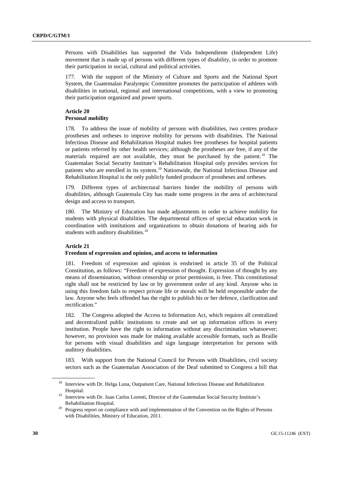Persons with Disabilities has supported the Vida Independiente (Independent Life) movement that is made up of persons with different types of disability, in order to promote their participation in social, cultural and political activities.

177. With the support of the Ministry of Culture and Sports and the National Sport System, the Guatemalan Paralympic Committee promotes the participation of athletes with disabilities in national, regional and international competitions, with a view to promoting their participation organized and power sports.

#### **Article 20 Personal mobility**

178. To address the issue of mobility of persons with disabilities, two centres produce prostheses and ortheses to improve mobility for persons with disabilities. The National Infectious Disease and Rehabilitation Hospital makes free prostheses for hospital patients or patients referred by other health services; although the prostheses are free, if any of the materials required are not available, they must be purchased by the patient.<sup>[18](#page-29-0)</sup> The Guatemalan Social Security Institute's Rehabilitation Hospital only provides services for patients who are enrolled in its system.[19](#page-29-1) Nationwide, the National Infectious Disease and Rehabilitation Hospital is the only publicly funded producer of prostheses and ortheses.

179. Different types of architectural barriers hinder the mobility of persons with disabilities, although Guatemala City has made some progress in the area of architectural design and access to transport.

180. The Ministry of Education has made adjustments in order to achieve mobility for students with physical disabilities. The departmental offices of special education work in coordination with institutions and organizations to obtain donations of hearing aids for students with auditory disabilities.<sup>[20](#page-29-2)</sup>

## **Article 21**

## **Freedom of expression and opinion, and access to information**

181. Freedom of expression and opinion is enshrined in article 35 of the Political Constitution, as follows: "Freedom of expression of thought. Expression of thought by any means of dissemination, without censorship or prior permission, is free. This constitutional right shall not be restricted by law or by government order of any kind. Anyone who in using this freedom fails to respect private life or morals will be held responsible under the law. Anyone who feels offended has the right to publish his or her defence, clarification and rectification."

182. The Congress adopted the Access to Information Act, which requires all centralized and decentralized public institutions to create and set up information offices in every institution. People have the right to information without any discrimination whatsoever; however, no provision was made for making available accessible formats, such as Braille for persons with visual disabilities and sign language interpretation for persons with auditory disabilities.

183. With support from the National Council for Persons with Disabilities, civil society sectors such as the Guatemalan Association of the Deaf submitted to Congress a bill that

<span id="page-29-0"></span><sup>&</sup>lt;sup>18</sup> Interview with Dr. Helga Luna, Outpatient Care, National Infectious Disease and Rehabilitation Hospital.

<span id="page-29-1"></span><sup>&</sup>lt;sup>19</sup> Interview with Dr. Juan Carlos Lorenti, Director of the Guatemalan Social Security Institute's Rehabilitation Hospital.

<span id="page-29-2"></span><sup>&</sup>lt;sup>20</sup> Progress report on compliance with and implementation of the Convention on the Rights of Persons with Disabilities, Ministry of Education, 2011.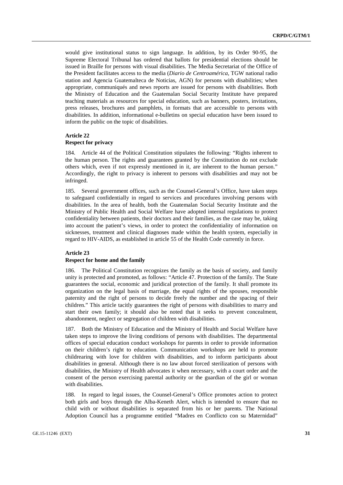would give institutional status to sign language. In addition, by its Order 90-95, the Supreme Electoral Tribunal has ordered that ballots for presidential elections should be issued in Braille for persons with visual disabilities. The Media Secretariat of the Office of the President facilitates access to the media (*Diario de Centroamérica*, TGW national radio station and Agencia Guatemalteca de Noticias, AGN) for persons with disabilities; when appropriate, communiqués and news reports are issued for persons with disabilities. Both the Ministry of Education and the Guatemalan Social Security Institute have prepared teaching materials as resources for special education, such as banners, posters, invitations, press releases, brochures and pamphlets, in formats that are accessible to persons with disabilities. In addition, informational e-bulletins on special education have been issued to inform the public on the topic of disabilities.

# **Article 22**

# **Respect for privacy**

184. Article 44 of the Political Constitution stipulates the following: "Rights inherent to the human person. The rights and guarantees granted by the Constitution do not exclude others which, even if not expressly mentioned in it, are inherent to the human person." Accordingly, the right to privacy is inherent to persons with disabilities and may not be infringed.

185. Several government offices, such as the Counsel-General's Office, have taken steps to safeguard confidentially in regard to services and procedures involving persons with disabilities. In the area of health, both the Guatemalan Social Security Institute and the Ministry of Public Health and Social Welfare have adopted internal regulations to protect confidentiality between patients, their doctors and their families, as the case may be, taking into account the patient's views, in order to protect the confidentiality of information on sicknesses, treatment and clinical diagnoses made within the health system, especially in regard to HIV-AIDS, as established in article 55 of the Health Code currently in force.

### **Article 23**

#### **Respect for home and the family**

186. The Political Constitution recognizes the family as the basis of society, and family unity is protected and promoted, as follows: "Article 47. Protection of the family. The State guarantees the social, economic and juridical protection of the family. It shall promote its organization on the legal basis of marriage, the equal rights of the spouses, responsible paternity and the right of persons to decide freely the number and the spacing of their children." This article tacitly guarantees the right of persons with disabilities to marry and start their own family; it should also be noted that it seeks to prevent concealment, abandonment, neglect or segregation of children with disabilities.

187. Both the Ministry of Education and the Ministry of Health and Social Welfare have taken steps to improve the living conditions of persons with disabilities. The departmental offices of special education conduct workshops for parents in order to provide information on their children's right to education. Communication workshops are held to promote childrearing with love for children with disabilities, and to inform participants about disabilities in general. Although there is no law about forced sterilization of persons with disabilities, the Ministry of Health advocates it when necessary, with a court order and the consent of the person exercising parental authority or the guardian of the girl or woman with disabilities.

188. In regard to legal issues, the Counsel-General's Office promotes action to protect both girls and boys through the Alba-Keneth Alert, which is intended to ensure that no child with or without disabilities is separated from his or her parents. The National Adoption Council has a programme entitled "Madres en Conflicto con su Maternidad"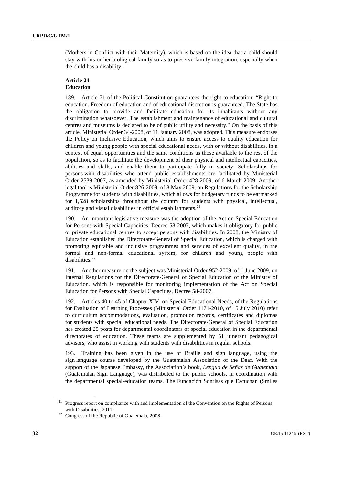(Mothers in Conflict with their Maternity), which is based on the idea that a child should stay with his or her biological family so as to preserve family integration, especially when the child has a disability.

### **Article 24 Education**

189. Article 71 of the Political Constitution guarantees the right to education: "Right to education. Freedom of education and of educational discretion is guaranteed. The State has the obligation to provide and facilitate education for its inhabitants without any discrimination whatsoever. The establishment and maintenance of educational and cultural centres and museums is declared to be of public utility and necessity." On the basis of this article, Ministerial Order 34-2008, of 11 January 2008, was adopted. This measure endorses the Policy on Inclusive Education, which aims to ensure access to quality education for children and young people with special educational needs, with or without disabilities, in a context of equal opportunities and the same conditions as those available to the rest of the population, so as to facilitate the development of their physical and intellectual capacities, abilities and skills, and enable them to participate fully in society. Scholarships for persons with disabilities who attend public establishments are facilitated by Ministerial Order 2539-2007, as amended by Ministerial Order 428-2009, of 6 March 2009. Another legal tool is Ministerial Order 826-2009, of 8 May 2009, on Regulations for the Scholarship Programme for students with disabilities, which allows for budgetary funds to be earmarked for 1,528 scholarships throughout the country for students with physical, intellectual, auditory and visual disabilities in official establishments. $21$ 

190. An important legislative measure was the adoption of the Act on Special Education for Persons with Special Capacities, Decree 58-2007, which makes it obligatory for public or private educational centres to accept persons with disabilities. In 2008, the Ministry of Education established the Directorate-General of Special Education, which is charged with promoting equitable and inclusive programmes and services of excellent quality, in the formal and non-formal educational system, for children and young people with disabilities.<sup>[22](#page-31-1)</sup>

191. Another measure on the subject was Ministerial Order 952-2009, of 1 June 2009, on Internal Regulations for the Directorate-General of Special Education of the Ministry of Education, which is responsible for monitoring implementation of the Act on Special Education for Persons with Special Capacities, Decree 58-2007.

192. Articles 40 to 45 of Chapter XIV, on Special Educational Needs, of the Regulations for Evaluation of Learning Processes (Ministerial Order 1171-2010, of 15 July 2010) refer to curriculum accommodations, evaluation, promotion records, certificates and diplomas for students with special educational needs. The Directorate-General of Special Education has created 25 posts for departmental coordinators of special education in the departmental directorates of education. These teams are supplemented by 51 itinerant pedagogical advisors, who assist in working with students with disabilities in regular schools.

193. Training has been given in the use of Braille and sign language, using the sign language course developed by the Guatemalan Association of the Deaf. With the support of the Japanese Embassy, the Association's book, *Lengua de Señas de Guatemala* (Guatemalan Sign Language), was distributed to the public schools, in coordination with the departmental special-education teams. The Fundación Sonrisas que Escuchan (Smiles

<span id="page-31-0"></span><sup>&</sup>lt;sup>21</sup> Progress report on compliance with and implementation of the Convention on the Rights of Persons with Disabilities, 2011.

<span id="page-31-1"></span><sup>22</sup> Congress of the Republic of Guatemala, 2008.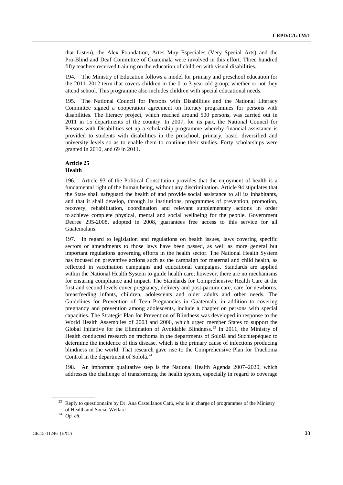that Listen), the Alex Foundation, Artes Muy Especiales (Very Special Arts) and the Pro-Blind and Deaf Committee of Guatemala were involved in this effort. Three hundred fifty teachers received training on the education of children with visual disabilities.

194. The Ministry of Education follows a model for primary and preschool education for the 2011–2012 term that covers children in the 0 to 3-year-old group, whether or not they attend school. This programme also includes children with special educational needs.

195. The National Council for Persons with Disabilities and the National Literacy Committee signed a cooperation agreement on literacy programmes for persons with disabilities. The literacy project, which reached around 500 persons, was carried out in 2011 in 15 departments of the country. In 2007, for its part, the National Council for Persons with Disabilities set up a scholarship programme whereby financial assistance is provided to students with disabilities in the preschool, primary, basic, diversified and university levels so as to enable them to continue their studies. Forty scholarships were granted in 2010, and 69 in 2011.

#### **Article 25 Health**

196. Article 93 of the Political Constitution provides that the enjoyment of health is a fundamental right of the human being, without any discrimination. Article 94 stipulates that the State shall safeguard the health of and provide social assistance to all its inhabitants, and that it shall develop, through its institutions, programmes of prevention, promotion, recovery, rehabilitation, coordination and relevant supplementary actions in order to achieve complete physical, mental and social wellbeing for the people. Government Decree 295-2008, adopted in 2008, guarantees free access to this service for all Guatemalans.

197. In regard to legislation and regulations on health issues, laws covering specific sectors or amendments to those laws have been passed, as well as more general but important regulations governing efforts in the health sector. The National Health System has focused on preventive actions such as the campaign for maternal and child health, as reflected in vaccination campaigns and educational campaigns. Standards are applied within the National Health System to guide health care; however, there are no mechanisms for ensuring compliance and impact. The Standards for Comprehensive Health Care at the first and second levels cover pregnancy, delivery and post-partum care, care for newborns, breastfeeding infants, children, adolescents and older adults and other needs. The Guidelines for Prevention of Teen Pregnancies in Guatemala, in addition to covering pregnancy and prevention among adolescents, include a chapter on persons with special capacities. The Strategic Plan for Prevention of Blindness was developed in response to the World Health Assemblies of 2003 and 2006, which urged member States to support the Global Initiative for the Elimination of Avoidable Blindness.[23](#page-32-0) In 2011, the Ministry of Health conducted research on trachoma in the departments of Sololá and Suchitepéquez to determine the incidence of this disease, which is the primary cause of infections producing blindness in the world. That research gave rise to the Comprehensive Plan for Trachoma Control in the department of Sololá.<sup>[24](#page-32-1)</sup>

198. An important qualitative step is the National Health Agenda 2007–2020, which addresses the challenge of transforming the health system, especially in regard to coverage

<span id="page-32-0"></span><sup>&</sup>lt;sup>23</sup> Reply to questionnaire by Dr. Ana Castellanos Catú, who is in charge of programmes of the Ministry of Health and Social Welfare.

<span id="page-32-1"></span><sup>24</sup> *Op. cit.*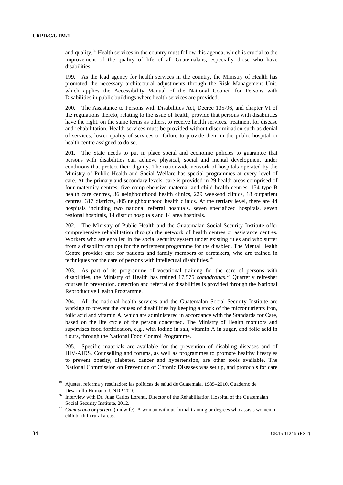and quality.<sup>[25](#page-33-0)</sup> Health services in the country must follow this agenda, which is crucial to the improvement of the quality of life of all Guatemalans, especially those who have disabilities.

199. As the lead agency for health services in the country, the Ministry of Health has promoted the necessary architectural adjustments through the Risk Management Unit, which applies the Accessibility Manual of the National Council for Persons with Disabilities in public buildings where health services are provided.

200. The Assistance to Persons with Disabilities Act, Decree 135-96, and chapter VI of the regulations thereto, relating to the issue of health, provide that persons with disabilities have the right, on the same terms as others, to receive health services, treatment for disease and rehabilitation. Health services must be provided without discrimination such as denial of services, lower quality of services or failure to provide them in the public hospital or health centre assigned to do so.

201. The State needs to put in place social and economic policies to guarantee that persons with disabilities can achieve physical, social and mental development under conditions that protect their dignity. The nationwide network of hospitals operated by the Ministry of Public Health and Social Welfare has special programmes at every level of care. At the primary and secondary levels, care is provided in 29 health areas comprised of four maternity centres, five comprehensive maternal and child health centres, 154 type B health care centres, 36 neighbourhood health clinics, 229 weekend clinics, 18 outpatient centres, 317 districts, 805 neighbourhood health clinics. At the tertiary level, there are 44 hospitals including two national referral hospitals, seven specialized hospitals, seven regional hospitals, 14 district hospitals and 14 area hospitals.

202. The Ministry of Public Health and the Guatemalan Social Security Institute offer comprehensive rehabilitation through the network of health centres or assistance centres. Workers who are enrolled in the social security system under existing rules and who suffer from a disability can opt for the retirement programme for the disabled. The Mental Health Centre provides care for patients and family members or caretakers, who are trained in techniques for the care of persons with intellectual disabilities.<sup>[26](#page-33-1)</sup>

203. As part of its programme of vocational training for the care of persons with disabilities, the Ministry of Health has trained 17,575 *comadronas*. [27](#page-33-2) Quarterly refresher courses in prevention, detection and referral of disabilities is provided through the National Reproductive Health Programme.

204. All the national health services and the Guatemalan Social Security Institute are working to prevent the causes of disabilities by keeping a stock of the micronutrients iron, folic acid and vitamin A, which are administered in accordance with the Standards for Care, based on the life cycle of the person concerned. The Ministry of Health monitors and supervises food fortification, e.g., with iodine in salt, vitamin A in sugar, and folic acid in flours, through the National Food Control Programme.

205. Specific materials are available for the prevention of disabling diseases and of HIV-AIDS. Counselling and forums, as well as programmes to promote healthy lifestyles to prevent obesity, diabetes, cancer and hypertension, are other tools available. The National Commission on Prevention of Chronic Diseases was set up, and protocols for care

<span id="page-33-0"></span><sup>25</sup> Ajustes, reforma y resultados: las políticas de salud de Guatemala, 1985–2010. Cuaderno de Desarrollo Humano, UNDP 2010.

<span id="page-33-1"></span><sup>&</sup>lt;sup>26</sup> Interview with Dr. Juan Carlos Lorenti, Director of the Rehabilitation Hospital of the Guatemalan Social Security Institute, 2012.

<span id="page-33-2"></span><sup>27</sup> *Comadrona* or *partera* (midwife): A woman without formal training or degrees who assists women in childbirth in rural areas.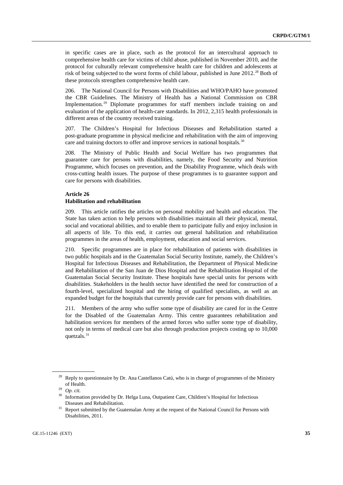in specific cases are in place, such as the protocol for an intercultural approach to comprehensive health care for victims of child abuse, published in November 2010, and the protocol for culturally relevant comprehensive health care for children and adolescents at risk of being subjected to the worst forms of child labour, published in June 2012.<sup>[28](#page-34-0)</sup> Both of these protocols strengthen comprehensive health care.

206. The National Council for Persons with Disabilities and WHO/PAHO have promoted the CBR Guidelines. The Ministry of Health has a National Commission on CBR Implementation.<sup>[29](#page-34-1)</sup> Diplomate programmes for staff members include training on and evaluation of the application of health-care standards. In 2012, 2,315 health professionals in different areas of the country received training.

207. The Children's Hospital for Infectious Diseases and Rehabilitation started a post-graduate programme in physical medicine and rehabilitation with the aim of improving care and training doctors to offer and improve services in national hospitals.<sup>[30](#page-34-2)</sup>

208. The Ministry of Public Health and Social Welfare has two programmes that guarantee care for persons with disabilities, namely, the Food Security and Nutrition Programme, which focuses on prevention, and the Disability Programme, which deals with cross-cutting health issues. The purpose of these programmes is to guarantee support and care for persons with disabilities.

# **Article 26**

# **Habilitation and rehabilitation**

209. This article ratifies the articles on personal mobility and health and education. The State has taken action to help persons with disabilities maintain all their physical, mental, social and vocational abilities, and to enable them to participate fully and enjoy inclusion in all aspects of life. To this end, it carries out general habilitation and rehabilitation programmes in the areas of health, employment, education and social services.

210. Specific programmes are in place for rehabilitation of patients with disabilities in two public hospitals and in the Guatemalan Social Security Institute, namely, the Children's Hospital for Infectious Diseases and Rehabilitation, the Department of Physical Medicine and Rehabilitation of the San Juan de Dios Hospital and the Rehabilitation Hospital of the Guatemalan Social Security Institute. These hospitals have special units for persons with disabilities. Stakeholders in the health sector have identified the need for construction of a fourth-level, specialized hospital and the hiring of qualified specialists, as well as an expanded budget for the hospitals that currently provide care for persons with disabilities.

211. Members of the army who suffer some type of disability are cared for in the Centre for the Disabled of the Guatemalan Army. This centre guarantees rehabilitation and habilitation services for members of the armed forces who suffer some type of disability, not only in terms of medical care but also through production projects costing up to 10,000 quetzals.<sup>[31](#page-34-3)</sup>

<span id="page-34-0"></span><sup>&</sup>lt;sup>28</sup> Reply to questionnaire by Dr. Ana Castellanos Catú, who is in charge of programmes of the Ministry of Health.

<span id="page-34-1"></span><sup>29</sup> *Op. cit.*

<span id="page-34-2"></span><sup>&</sup>lt;sup>30</sup> Information provided by Dr. Helga Luna, Outpatient Care, Children's Hospital for Infectious Diseases and Rehabilitation.

<span id="page-34-3"></span><sup>&</sup>lt;sup>31</sup> Report submitted by the Guatemalan Army at the request of the National Council for Persons with Disabilities, 2011.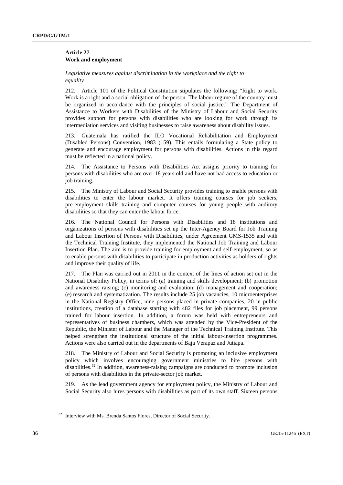#### **Article 27 Work and employment**

#### *Legislative measures against discrimination in the workplace and the right to equality*

212. Article 101 of the Political Constitution stipulates the following: "Right to work. Work is a right and a social obligation of the person. The labour regime of the country must be organized in accordance with the principles of social justice." The Department of Assistance to Workers with Disabilities of the Ministry of Labour and Social Security provides support for persons with disabilities who are looking for work through its intermediation services and visiting businesses to raise awareness about disability issues.

213. Guatemala has ratified the ILO Vocational Rehabilitation and Employment (Disabled Persons) Convention, 1983 (159). This entails formulating a State policy to generate and encourage employment for persons with disabilities. Actions in this regard must be reflected in a national policy.

214. The Assistance to Persons with Disabilities Act assigns priority to training for persons with disabilities who are over 18 years old and have not had access to education or job training.

215. The Ministry of Labour and Social Security provides training to enable persons with disabilities to enter the labour market. It offers training courses for job seekers, pre-employment skills training and computer courses for young people with auditory disabilities so that they can enter the labour force.

216. The National Council for Persons with Disabilities and 18 institutions and organizations of persons with disabilities set up the Inter-Agency Board for Job Training and Labour Insertion of Persons with Disabilities, under Agreement GMS-1535 and with the Technical Training Institute, they implemented the National Job Training and Labour Insertion Plan. The aim is to provide training for employment and self-employment, so as to enable persons with disabilities to participate in production activities as holders of rights and improve their quality of life.

217. The Plan was carried out in 2011 in the context of the lines of action set out in the National Disability Policy, in terms of: (a) training and skills development; (b) promotion and awareness raising; (c) monitoring and evaluation; (d) management and cooperation; (e) research and systematization. The results include 25 job vacancies, 10 microenterprises in the National Registry Office, nine persons placed in private companies, 20 in public institutions, creation of a database starting with 482 files for job placement, 99 persons trained for labour insertion. In addition, a forum was held with entrepreneurs and representatives of business chambers, which was attended by the Vice-President of the Republic, the Minister of Labour and the Manager of the Technical Training Institute. This helped strengthen the institutional structure of the initial labour-insertion programmes. Actions were also carried out in the departments of Baja Verapaz and Jutiapa.

218. The Ministry of Labour and Social Security is promoting an inclusive employment policy which involves encouraging government ministries to hire persons with disabilities.[32](#page-35-0) In addition, awareness-raising campaigns are conducted to promote inclusion of persons with disabilities in the private-sector job market.

219. As the lead government agency for employment policy, the Ministry of Labour and Social Security also hires persons with disabilities as part of its own staff. Sixteen persons

<span id="page-35-0"></span><sup>&</sup>lt;sup>32</sup> Interview with Ms. Brenda Santos Flores, Director of Social Security.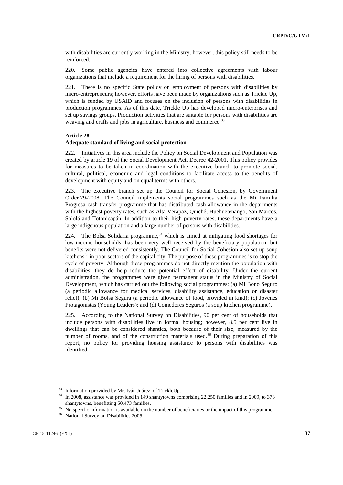with disabilities are currently working in the Ministry; however, this policy still needs to be reinforced.

220. Some public agencies have entered into collective agreements with labour organizations that include a requirement for the hiring of persons with disabilities.

221. There is no specific State policy on employment of persons with disabilities by micro-entrepreneurs; however, efforts have been made by organizations such as Trickle Up, which is funded by USAID and focuses on the inclusion of persons with disabilities in production programmes. As of this date, Trickle Up has developed micro-enterprises and set up savings groups. Production activities that are suitable for persons with disabilities are weaving and crafts and jobs in agriculture, business and commerce.<sup>[33](#page-36-0)</sup>

### **Article 28**

#### **Adequate standard of living and social protection**

222. Initiatives in this area include the Policy on Social Development and Population was created by article 19 of the Social Development Act, Decree 42-2001. This policy provides for measures to be taken in coordination with the executive branch to promote social, cultural, political, economic and legal conditions to facilitate access to the benefits of development with equity and on equal terms with others.

223. The executive branch set up the Council for Social Cohesion, by Government Order 79-2008. The Council implements social programmes such as the Mi Familia Progresa cash-transfer programme that has distributed cash allowance in the departments with the highest poverty rates, such as Alta Verapaz, Quiché, Huehuetenango, San Marcos, Sololá and Totonicapán. In addition to their high poverty rates, these departments have a large indigenous population and a large number of persons with disabilities.

224. The Bolsa Solidaria programme,  $34$  which is aimed at mitigating food shortages for low-income households, has been very well received by the beneficiary population, but benefits were not delivered consistently. The Council for Social Cohesion also set up soup kitchens<sup>[35](#page-36-2)</sup> in poor sectors of the capital city. The purpose of these programmes is to stop the cycle of poverty. Although these programmes do not directly mention the population with disabilities, they do help reduce the potential effect of disability. Under the current administration, the programmes were given permanent status in the Ministry of Social Development, which has carried out the following social programmes: (a) Mi Bono Seguro (a periodic allowance for medical services, disability assistance, education or disaster relief); (b) Mi Bolsa Segura (a periodic allowance of food, provided in kind); (c) Jóvenes Protagonistas (Young Leaders); and (d) Comedores Seguros (a soup kitchen programme).

225. According to the National Survey on Disabilities, 90 per cent of households that include persons with disabilities live in formal housing; however, 8.5 per cent live in dwellings that can be considered shanties, both because of their size, measured by the number of rooms, and of the construction materials used.<sup>[36](#page-36-3)</sup> During preparation of this report, no policy for providing housing assistance to persons with disabilities was identified.

<sup>33</sup> Information provided by Mr. Iván Juárez, of TrickleUp.

<span id="page-36-1"></span><span id="page-36-0"></span><sup>&</sup>lt;sup>34</sup> In 2008, assistance was provided in 149 shantytowns comprising 22,250 families and in 2009, to 373 shantytowns, benefitting 50,473 families.

<span id="page-36-2"></span><sup>&</sup>lt;sup>35</sup> No specific information is available on the number of beneficiaries or the impact of this programme.

<span id="page-36-3"></span>National Survey on Disabilities 2005.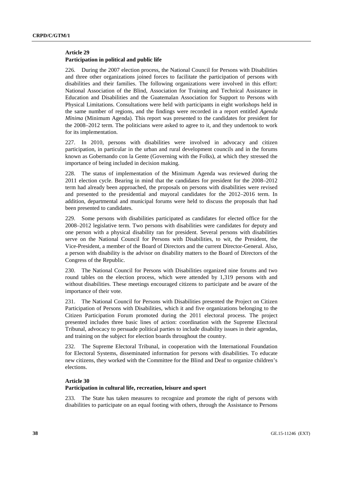#### **Article 29 Participation in political and public life**

226. During the 2007 election process, the National Council for Persons with Disabilities and three other organizations joined forces to facilitate the participation of persons with disabilities and their families. The following organizations were involved in this effort: National Association of the Blind, Association for Training and Technical Assistance in Education and Disabilities and the Guatemalan Association for Support to Persons with Physical Limitations. Consultations were held with participants in eight workshops held in the same number of regions, and the findings were recorded in a report entitled *Agenda Mïnima* (Minimum Agenda). This report was presented to the candidates for president for the 2008–2012 term. The politicians were asked to agree to it, and they undertook to work for its implementation.

227. In 2010, persons with disabilities were involved in advocacy and citizen participation, in particular in the urban and rural development councils and in the forums known as Gobernando con la Gente (Governing with the Folks), at which they stressed the importance of being included in decision making.

228. The status of implementation of the Minimum Agenda was reviewed during the 2011 election cycle. Bearing in mind that the candidates for president for the 2008–2012 term had already been approached, the proposals on persons with disabilities were revised and presented to the presidential and mayoral candidates for the 2012–2016 term. In addition, departmental and municipal forums were held to discuss the proposals that had been presented to candidates.

229. Some persons with disabilities participated as candidates for elected office for the 2008–2012 legislative term. Two persons with disabilities were candidates for deputy and one person with a physical disability ran for president. Several persons with disabilities serve on the National Council for Persons with Disabilities, to wit, the President, the Vice-President, a member of the Board of Directors and the current Director-General. Also, a person with disability is the advisor on disability matters to the Board of Directors of the Congress of the Republic.

230. The National Council for Persons with Disabilities organized nine forums and two round tables on the election process, which were attended by 1,319 persons with and without disabilities. These meetings encouraged citizens to participate and be aware of the importance of their vote.

231. The National Council for Persons with Disabilities presented the Project on Citizen Participation of Persons with Disabilities, which it and five organizations belonging to the Citizen Participation Forum promoted during the 2011 electoral process. The project presented includes three basic lines of action: coordination with the Supreme Electoral Tribunal, advocacy to persuade political parties to include disability issues in their agendas, and training on the subject for election boards throughout the country.

232. The Supreme Electoral Tribunal, in cooperation with the International Foundation for Electoral Systems, disseminated information for persons with disabilities. To educate new citizens, they worked with the Committee for the Blind and Deaf to organize children's elections.

#### **Article 30**

#### **Participation in cultural life, recreation, leisure and sport**

233. The State has taken measures to recognize and promote the right of persons with disabilities to participate on an equal footing with others, through the Assistance to Persons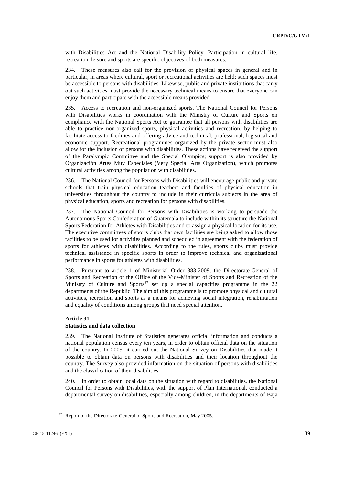with Disabilities Act and the National Disability Policy. Participation in cultural life, recreation, leisure and sports are specific objectives of both measures.

234. These measures also call for the provision of physical spaces in general and in particular, in areas where cultural, sport or recreational activities are held; such spaces must be accessible to persons with disabilities. Likewise, public and private institutions that carry out such activities must provide the necessary technical means to ensure that everyone can enjoy them and participate with the accessible means provided.

235. Access to recreation and non-organized sports. The National Council for Persons with Disabilities works in coordination with the Ministry of Culture and Sports on compliance with the National Sports Act to guarantee that all persons with disabilities are able to practice non-organized sports, physical activities and recreation, by helping to facilitate access to facilities and offering advice and technical, professional, logistical and economic support. Recreational programmes organized by the private sector must also allow for the inclusion of persons with disabilities. These actions have received the support of the Paralympic Committee and the Special Olympics; support is also provided by Organización Artes Muy Especiales (Very Special Arts Organization), which promotes cultural activities among the population with disabilities.

236. The National Council for Persons with Disabilities will encourage public and private schools that train physical education teachers and faculties of physical education in universities throughout the country to include in their curricula subjects in the area of physical education, sports and recreation for persons with disabilities.

237. The National Council for Persons with Disabilities is working to persuade the Autonomous Sports Confederation of Guatemala to include within its structure the National Sports Federation for Athletes with Disabilities and to assign a physical location for its use. The executive committees of sports clubs that own facilities are being asked to allow those facilities to be used for activities planned and scheduled in agreement with the federation of sports for athletes with disabilities. According to the rules, sports clubs must provide technical assistance in specific sports in order to improve technical and organizational performance in sports for athletes with disabilities.

238. Pursuant to article 1 of Ministerial Order 883-2009, the Directorate-General of Sports and Recreation of the Office of the Vice-Minister of Sports and Recreation of the Ministry of Culture and Sports<sup>[37](#page-38-0)</sup> set up a special capacities programme in the 22 departments of the Republic. The aim of this programme is to promote physical and cultural activities, recreation and sports as a means for achieving social integration, rehabilitation and equality of conditions among groups that need special attention.

# **Article 31**

# **Statistics and data collection**

239. The National Institute of Statistics generates official information and conducts a national population census every ten years, in order to obtain official data on the situation of the country. In 2005, it carried out the National Survey on Disabilities that made it possible to obtain data on persons with disabilities and their location throughout the country. The Survey also provided information on the situation of persons with disabilities and the classification of their disabilities.

240. In order to obtain local data on the situation with regard to disabilities, the National Council for Persons with Disabilities, with the support of Plan International, conducted a departmental survey on disabilities, especially among children, in the departments of Baja

<span id="page-38-0"></span><sup>&</sup>lt;sup>37</sup> Report of the Directorate-General of Sports and Recreation, May 2005.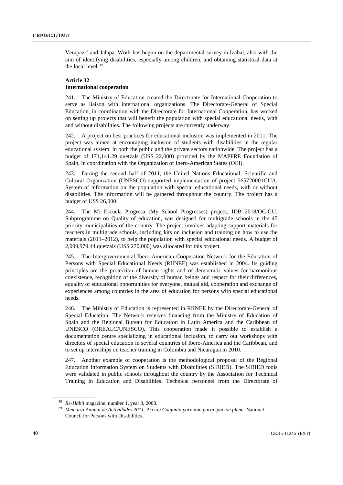Verapaz<sup>[38](#page-39-0)</sup> and Jalapa. Work has begun on the departmental survey in Izabal, also with the aim of identifying disabilities, especially among children, and obtaining statistical data at the local level.<sup>[39](#page-39-1)</sup>

# **Article 32 International cooperation**

241. The Ministry of Education created the Directorate for International Cooperation to serve as liaison with international organizations. The Directorate-General of Special Education, in coordination with the Directorate for International Cooperation, has worked on setting up projects that will benefit the population with special educational needs, with and without disabilities. The following projects are currently underway:

242. A project on best practices for educational inclusion was implemented in 2011. The project was aimed at encouraging inclusion of students with disabilities in the regular educational system, in both the public and the private sectors nationwide. The project has a budget of 171,141.29 quetzals (US\$ 22,000) provided by the MAPFRE Foundation of Spain, in coordination with the Organization of Ibero-American States (OEI).

243. During the second half of 2011, the United Nations Educational, Scientific and Cultural Organization (UNESCO) supported implementation of project 565720001GUA, System of information on the population with special educational needs, with or without disabilities. The information will be gathered throughout the country. The project has a budget of US\$ 26,000.

244. The Mi Escuela Progresa (My School Progresses) project, IDB 2018/OC-GU, Subprogramme on Quality of education, was designed for multigrade schools in the 45 priority municipalities of the country. The project involves adapting support materials for teachers in multigrade schools, including kits on inclusion and training on how to use the materials (2011–2012), to help the population with special educational needs. A budget of 2,099,979.44 quetzals (US\$ 270,000) was allocated for this project.

245. The Intergovernmental Ibero-American Cooperation Network for the Education of Persons with Special Educational Needs (RIINEE) was established in 2004. Its guiding principles are the protection of human rights and of democratic values for harmonious coexistence, recognition of the diversity of human beings and respect for their differences, equality of educational opportunities for everyone, mutual aid, cooperation and exchange of experiences among countries in the area of education for persons with special educational needs.

246. The Ministry of Education is represented in RIINEE by the Directorate-General of Special Education. The Network receives financing from the Ministry of Education of Spain and the Regional Bureau for Education in Latin America and the Caribbean of UNESCO (OREALC/UNESCO). This cooperation made it possible to establish a documentation centre specializing in educational inclusion, to carry out workshops with directors of special education in several countries of Ibero-America and the Caribbean, and to set up internships on teacher training in Colombia and Nicaragua in 2010.

247. Another example of cooperation is the methodological proposal of the Regional Education Information System on Students with Disabilities (SIRIED). The SIRIED tools were validated in public schools throughout the country by the Association for Technical Training in Education and Disabilities. Technical personnel from the Directorate of

<span id="page-39-1"></span><span id="page-39-0"></span><sup>38</sup> *Re-Habil* magazine, number 1, year 3, 2008.

<sup>39</sup> *Memoria Annual de Actividades 2011. Acción Conjunta para una participación plena.* National Council for Persons with Disabilities.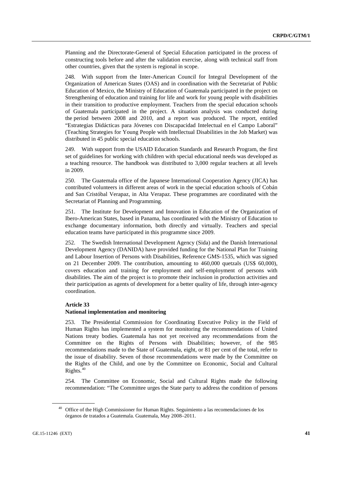Planning and the Directorate-General of Special Education participated in the process of constructing tools before and after the validation exercise, along with technical staff from other countries, given that the system is regional in scope.

248. With support from the Inter-American Council for Integral Development of the Organization of American States (OAS) and in coordination with the Secretariat of Public Education of Mexico, the Ministry of Education of Guatemala participated in the project on Strengthening of education and training for life and work for young people with disabilities in their transition to productive employment. Teachers from the special education schools of Guatemala participated in the project. A situation analysis was conducted during the period between 2008 and 2010, and a report was produced. The report, entitled "Estrategias Didácticas para Jóvenes con Discapacidad Intelectual en el Campo Laboral" (Teaching Strategies for Young People with Intellectual Disabilities in the Job Market) was distributed in 45 public special education schools.

249. With support from the USAID Education Standards and Research Program, the first set of guidelines for working with children with special educational needs was developed as a teaching resource. The handbook was distributed to 3,000 regular teachers at all levels in 2009.

250. The Guatemala office of the Japanese International Cooperation Agency (JICA) has contributed volunteers in different areas of work in the special education schools of Cobán and San Cristóbal Verapaz, in Alta Verapaz. These programmes are coordinated with the Secretariat of Planning and Programming.

251. The Institute for Development and Innovation in Education of the Organization of Ibero-American States, based in Panama, has coordinated with the Ministry of Education to exchange documentary information, both directly and virtually. Teachers and special education teams have participated in this programme since 2009.

252. The Swedish International Development Agency (Sida) and the Danish International Development Agency (DANIDA) have provided funding for the National Plan for Training and Labour Insertion of Persons with Disabilities, Reference GMS-1535, which was signed on 21 December 2009. The contribution, amounting to 460,000 quetzals (US\$ 60,000), covers education and training for employment and self-employment of persons with disabilities. The aim of the project is to promote their inclusion in production activities and their participation as agents of development for a better quality of life, through inter-agency coordination.

#### **Article 33**

#### **National implementation and monitoring**

253. The Presidential Commission for Coordinating Executive Policy in the Field of Human Rights has implemented a system for monitoring the recommendations of United Nations treaty bodies. Guatemala has not yet received any recommendations from the Committee on the Rights of Persons with Disabilities; however, of the 985 recommendations made to the State of Guatemala, eight, or 81 per cent of the total, refer to the issue of disability. Seven of those recommendations were made by the Committee on the Rights of the Child, and one by the Committee on Economic, Social and Cultural Rights.<sup>[40](#page-40-0)</sup>

254. The Committee on Economic, Social and Cultural Rights made the following recommendation: "The Committee urges the State party to address the condition of persons

<span id="page-40-0"></span>Office of the High Commissioner for Human Rights. Seguimiento a las recomendaciones de los órganos de tratados a Guatemala. Guatemala, May 2008–2011.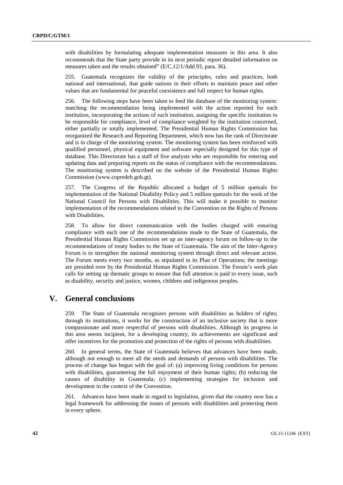with disabilities by formulating adequate implementation measures in this area. It also recommends that the State party provide in its next periodic report detailed information on measures taken and the results obtained" (E/C.12/1/Add.93, para. 36).

255. Guatemala recognizes the validity of the principles, rules and practices, both national and international, that guide nations in their efforts to maintain peace and other values that are fundamental for peaceful coexistence and full respect for human rights.

256. The following steps have been taken to feed the database of the monitoring system: matching the recommendation being implemented with the action reported for each institution, incorporating the actions of each institution, assigning the specific institution to be responsible for compliance, level of compliance weighted by the institution concerned, either partially or totally implemented. The Presidential Human Rights Commission has reorganized the Research and Reporting Department, which now has the rank of Directorate and is in charge of the monitoring system. The monitoring system has been reinforced with qualified personnel, physical equipment and software especially designed for this type of database. This Directorate has a staff of five analysts who are responsible for entering and updating data and preparing reports on the status of compliance with the recommendations. The monitoring system is described on the website of the Presidential Human Rights Commission (www.copredeh.gob.gt).

257. The Congress of the Republic allocated a budget of 5 million quetzals for implementation of the National Disability Policy and 5 million quetzals for the work of the National Council for Persons with Disabilities. This will make it possible to monitor implementation of the recommendations related to the Convention on the Rights of Persons with Disabilities.

258. To allow for direct communication with the bodies charged with ensuring compliance with each one of the recommendations made to the State of Guatemala, the Presidential Human Rights Commission set up an inter-agency forum on follow-up to the recommendations of treaty bodies to the State of Guatemala. The aim of the Inter-Agency Forum is to strengthen the national monitoring system through direct and relevant action. The Forum meets every two months, as stipulated in its Plan of Operations; the meetings are presided over by the Presidential Human Rights Commission. The Forum's work plan calls for setting up thematic groups to ensure that full attention is paid to every issue, such as disability, security and justice, women, children and indigenous peoples.

# **V. General conclusions**

259. The State of Guatemala recognizes persons with disabilities as holders of rights; through its institutions, it works for the construction of an inclusive society that is more compassionate and more respectful of persons with disabilities. Although its progress in this area seems incipient, for a developing country, its achievements are significant and offer incentives for the promotion and protection of the rights of persons with disabilities.

260. In general terms, the State of Guatemala believes that advances have been made, although not enough to meet all the needs and demands of persons with disabilities. The process of change has begun with the goal of: (a) improving living conditions for persons with disabilities, guaranteeing the full enjoyment of their human rights; (b) reducing the causes of disability in Guatemala; (c) implementing strategies for inclusion and development in the context of the Convention.

261. Advances have been made in regard to legislation, given that the country now has a legal framework for addressing the issues of persons with disabilities and protecting them in every sphere.